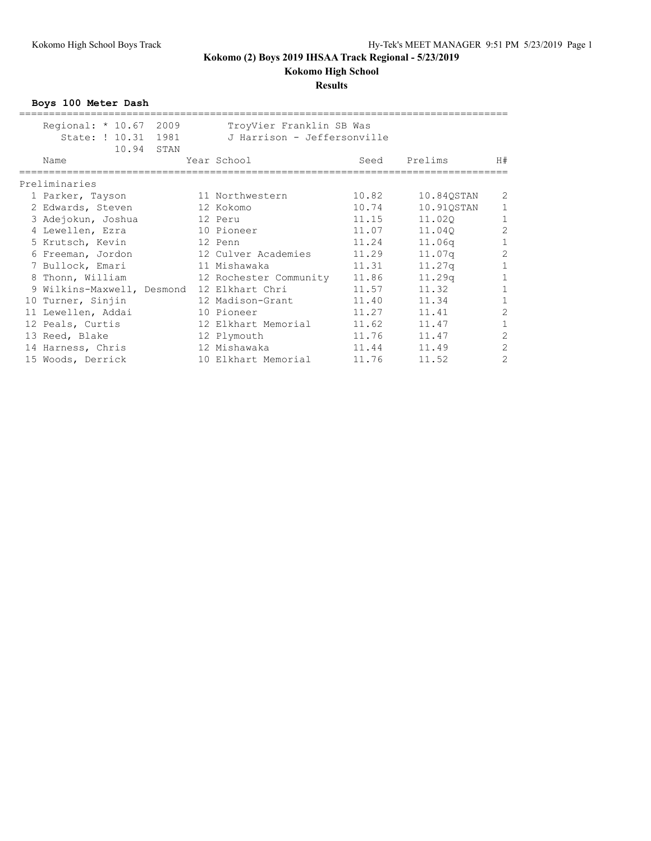# **Kokomo High School**

**Results**

**Boys 100 Meter Dash**

| Regional: * 10.67 2009<br>State: ! 10.31 1981 | TroyVier Franklin SB Was<br>J Harrison - Jeffersonville |       |            |                |
|-----------------------------------------------|---------------------------------------------------------|-------|------------|----------------|
| 10.94 STAN<br>Name                            | Year School                                             | Seed  | Prelims    | H#             |
| Preliminaries                                 |                                                         |       |            |                |
| 1 Parker, Tayson                              | 11 Northwestern                                         | 10.82 | 10.840STAN | 2              |
| 2 Edwards, Steven                             | 12 Kokomo                                               | 10.74 | 10.910STAN | 1              |
| 3 Adejokun, Joshua                            | 12 Peru                                                 | 11.15 | 11,020     | $\,1\,$        |
| 4 Lewellen, Ezra                              | 10 Pioneer                                              | 11.07 | 11.040     | $\overline{2}$ |
| 5 Krutsch, Kevin                              | 12 Penn                                                 | 11.24 | 11.06q     | $\mathbf{1}$   |
| 6 Freeman, Jordon                             | 12 Culver Academies                                     | 11.29 | 11.07q     | $\overline{c}$ |
| 7 Bullock, Emari                              | 11 Mishawaka                                            | 11.31 | $11.27$ q  | $\mathbf{1}$   |
| 8 Thonn, William                              | 12 Rochester Community                                  | 11.86 | 11.29q     | $\mathbf{1}$   |
| 9 Wilkins-Maxwell, Desmond                    | 12 Elkhart Chri                                         | 11.57 | 11.32      | $\mathbf{1}$   |
| 10 Turner, Sinjin                             | 12 Madison-Grant                                        | 11.40 | 11.34      | $\mathbf{1}$   |
| 11 Lewellen, Addai                            | 10 Pioneer                                              | 11.27 | 11.41      | $\overline{c}$ |
| 12 Peals, Curtis                              | 12 Elkhart Memorial                                     | 11.62 | 11.47      | $\mathbf{1}$   |
| 13 Reed, Blake                                | 12 Plymouth                                             | 11.76 | 11.47      | $\overline{c}$ |
| 14 Harness, Chris                             | 12 Mishawaka                                            | 11.44 | 11.49      | $\overline{2}$ |
| 15 Woods, Derrick                             | 10 Elkhart Memorial                                     | 11.76 | 11.52      | $\overline{2}$ |
|                                               |                                                         |       |            |                |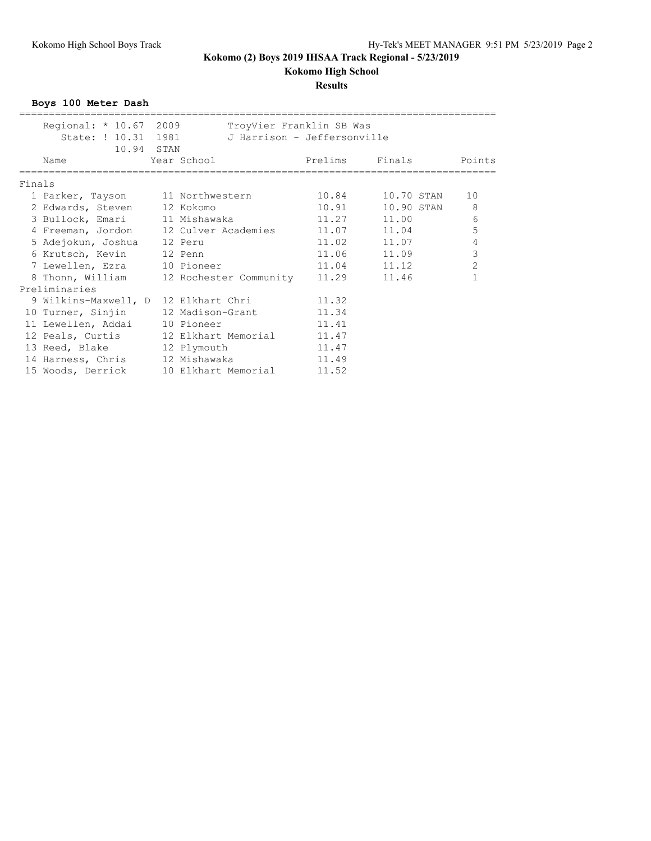# **Kokomo High School**

### **Results**

**Boys 100 Meter Dash**

|        | Regional: * 10.67 2009               |  | TroyVier Franklin SB Was                            |             |                          |                |
|--------|--------------------------------------|--|-----------------------------------------------------|-------------|--------------------------|----------------|
|        | State: ! 10.31 1981                  |  | J Harrison - Jeffersonville                         |             |                          |                |
|        | 10.94 STAN                           |  |                                                     |             |                          |                |
|        | Name                                 |  | Year School                                         | Prelims     | Finals                   | Points         |
|        |                                      |  |                                                     |             |                          |                |
| Finals |                                      |  |                                                     |             |                          |                |
|        | 1 Parker, Tayson 11 Northwestern     |  |                                                     |             | 10.84 10.70 STAN         | 10             |
|        | 2 Edwards, Steven 12 Kokomo          |  |                                                     |             | 10.91    10.90 STAN    8 |                |
|        | 3 Bullock, Emari 11 Mishawaka        |  |                                                     | 11.27 11.00 |                          | 6              |
|        |                                      |  | 4 Freeman, Jordon 12 Culver Academies 11.07 11.04   |             |                          | 5              |
|        | 5 Adejokun, Joshua 12 Peru           |  |                                                     |             | $11.02$ $11.07$          | $\overline{4}$ |
|        | 6 Krutsch, Kevin 12 Penn             |  |                                                     |             | 11.06 11.09              | 3              |
|        | 7 Lewellen, Ezra 10 Pioneer          |  |                                                     | 11.04 11.12 |                          | $\overline{c}$ |
|        |                                      |  | 8 Thonn, William 12 Rochester Community 11.29 11.46 |             |                          |                |
|        | Preliminaries                        |  |                                                     |             |                          |                |
|        | 9 Wilkins-Maxwell, D 12 Elkhart Chri |  |                                                     | 11.32       |                          |                |
|        |                                      |  | 10 Turner, Sinjin 12 Madison-Grant                  | 11.34       |                          |                |
|        | 11 Lewellen, Addai 10 Pioneer        |  |                                                     | 11.41       |                          |                |
|        |                                      |  | 12 Peals, Curtis 12 Elkhart Memorial 11.47          |             |                          |                |
|        | 13 Reed, Blake 12 Plymouth           |  |                                                     | 11.47       |                          |                |
|        | 14 Harness, Chris 12 Mishawaka       |  |                                                     | 11.49       |                          |                |
|        |                                      |  | 15 Woods, Derrick 10 Elkhart Memorial 11.52         |             |                          |                |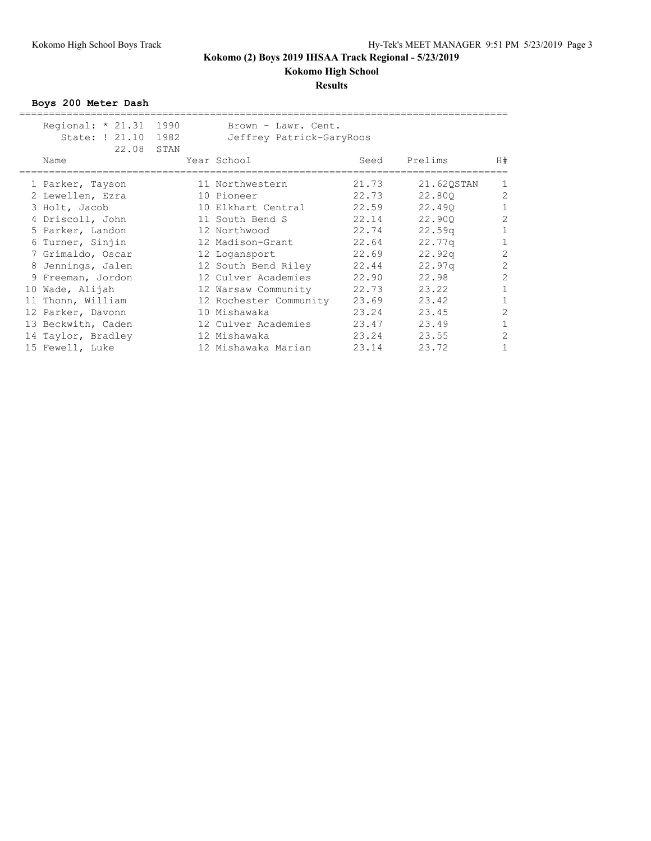# **Kokomo High School**

### **Results**

**Boys 200 Meter Dash**

| Regional: * 21.31 1990<br>State: ! 21.10<br>22.08 STAN | 1982 | Brown - Lawr. Cent.<br>Jeffrey Patrick-GaryRoos |       |                    |                |
|--------------------------------------------------------|------|-------------------------------------------------|-------|--------------------|----------------|
| Name                                                   |      | Year School                                     | Seed  | Prelims            | H#             |
| 1 Parker, Tayson                                       |      | 11 Northwestern                                 | 21.73 | 21.620STAN         | 1              |
| 2 Lewellen, Ezra                                       |      | 10 Pioneer                                      | 22.73 | 22,800             | $\overline{c}$ |
| 3 Holt, Jacob                                          |      | 10 Elkhart Central                              | 22.59 | 22,490             | $\mathbf{1}$   |
| 4 Driscoll, John                                       |      | 11 South Bend S                                 | 22.14 | 22,900             | $\overline{2}$ |
| 5 Parker, Landon                                       |      | 12 Northwood                                    | 22.74 | 22.59q             | $\mathbf{1}$   |
| 6 Turner, Sinjin                                       |      | 12 Madison-Grant                                | 22.64 | 22.77q             | $\mathbf{1}$   |
| 7 Grimaldo, Oscar                                      |      | 12 Logansport                                   | 22.69 | 22.92 <sub>q</sub> | $\overline{c}$ |
| 8 Jennings, Jalen                                      |      | 12 South Bend Riley                             | 22.44 | 22.97 <sub>q</sub> | $\overline{c}$ |
| 9 Freeman, Jordon                                      |      | 12 Culver Academies                             | 22.90 | 22.98              | $\overline{2}$ |
| 10 Wade, Alijah                                        |      | 12 Warsaw Community                             | 22.73 | 23.22              | $\mathbf{1}$   |
| 11 Thonn, William                                      |      | 12 Rochester Community                          | 23.69 | 23.42              | $\mathbf{1}$   |
| 12 Parker, Davonn                                      |      | 10 Mishawaka                                    | 23.24 | 23.45              | $\overline{c}$ |
| 13 Beckwith, Caden                                     |      | 12 Culver Academies                             | 23.47 | 23.49              | $\mathbf{1}$   |
| 14 Taylor, Bradley                                     |      | 12 Mishawaka                                    | 23.24 | 23.55              | $\overline{2}$ |
| 15 Fewell, Luke                                        |      | 12 Mishawaka Marian                             | 23.14 | 23.72              |                |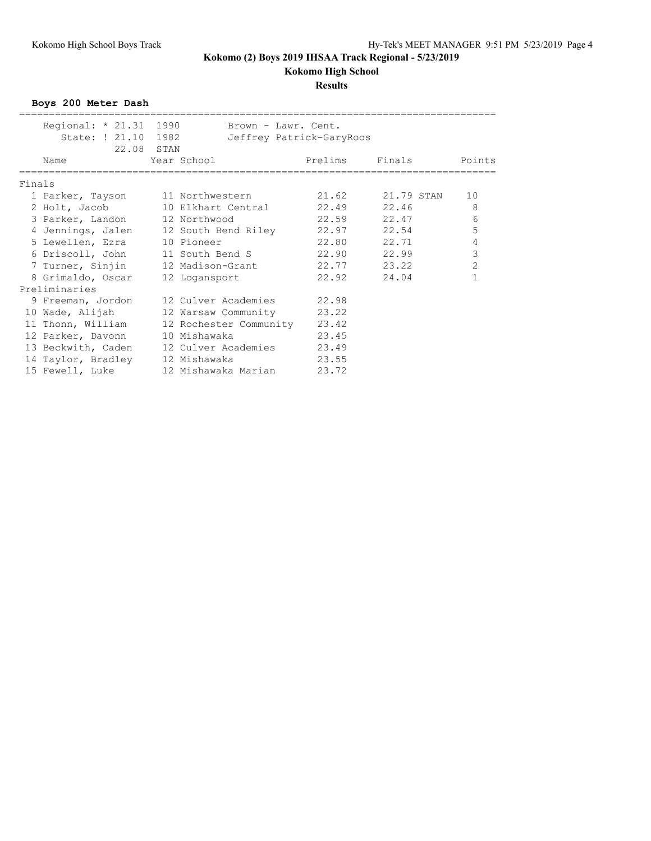**Kokomo High School**

### **Results**

**Boys 200 Meter Dash**

|        | Regional: * 21.31 1990                            |                  | Brown - Lawr. Cent.          |                          |                  |                |
|--------|---------------------------------------------------|------------------|------------------------------|--------------------------|------------------|----------------|
|        | State: ! 21.10 1982                               |                  |                              | Jeffrey Patrick-GaryRoos |                  |                |
|        | 22.08 STAN                                        |                  |                              |                          |                  |                |
|        | Name                                              | Year School      |                              | Prelims                  | Finals           | Points         |
|        |                                                   |                  |                              |                          |                  |                |
| Finals |                                                   |                  |                              |                          |                  |                |
|        | 1 Parker, Tayson 11 Northwestern                  |                  |                              |                          | 21.62 21.79 STAN | 10             |
|        | 2 Holt, Jacob 10 Elkhart Central 22.49 22.46      |                  |                              |                          |                  | 8              |
|        | 3 Parker, Landon 12 Northwood                     |                  |                              | 22.59 22.47              |                  | 6              |
|        | 4 Jennings, Jalen 12 South Bend Riley 22.97 22.54 |                  |                              |                          |                  | 5              |
|        | 5 Lewellen, Ezra                                  | 10 Pioneer       |                              | 22.80 22.71              |                  | $\overline{4}$ |
|        | 6 Driscoll, John 11 South Bend S                  |                  |                              | 22.90 22.99              |                  | 3              |
|        | 7 Turner, Sinjin                                  | 12 Madison-Grant |                              | 22.77 23.22              |                  | $\overline{2}$ |
|        | 8 Grimaldo, Oscar                                 | 12 Logansport    |                              | 22.92                    | 24.04            |                |
|        | Preliminaries                                     |                  |                              |                          |                  |                |
|        | 9 Freeman, Jordon 12 Culver Academies 22.98       |                  |                              |                          |                  |                |
|        | 10 Wade, Alijah                                   |                  | 12 Warsaw Community 23.22    |                          |                  |                |
|        | 11 Thonn, William                                 |                  | 12 Rochester Community 23.42 |                          |                  |                |
|        | 12 Parker, Davonn                                 | 10 Mishawaka     |                              | 23.45                    |                  |                |
|        | 13 Beckwith, Caden                                |                  | 12 Culver Academies 23.49    |                          |                  |                |
|        | 14 Taylor, Bradley                                | 12 Mishawaka     |                              | 23.55                    |                  |                |
|        | 15 Fewell, Luke                                   |                  | 12 Mishawaka Marian          | 23.72                    |                  |                |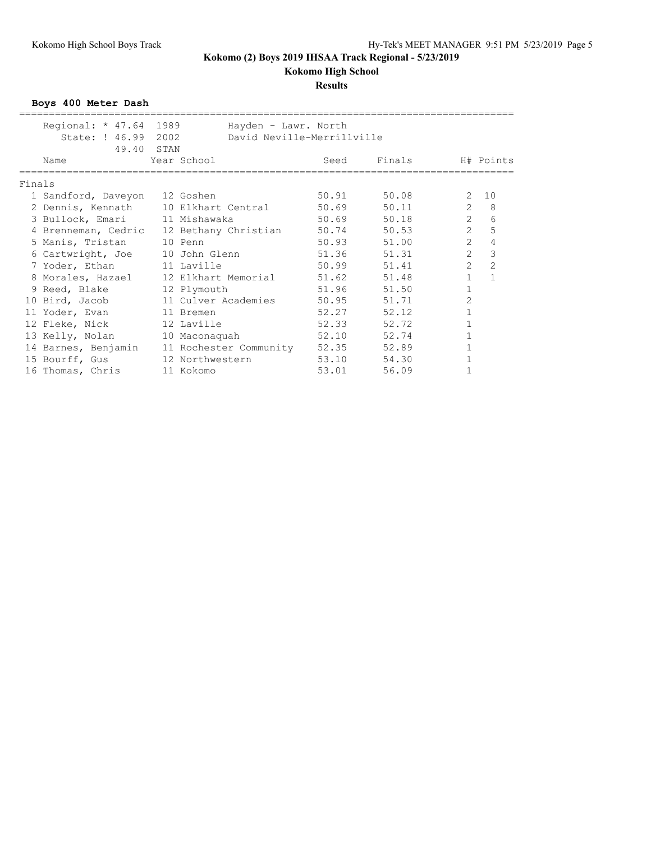### **Results**

**Boys 400 Meter Dash**

|        | Regional: * 47.64 1989                   |               | Hayden - Lawr. North                             |        |                |              |
|--------|------------------------------------------|---------------|--------------------------------------------------|--------|----------------|--------------|
|        | State: ! 46.99 2002                      |               | David Neville-Merrillville                       |        |                |              |
|        | 49.40 STAN                               |               |                                                  |        |                |              |
|        | Name                                     | Year School   | Seed                                             | Finals |                | H# Points    |
| Finals |                                          |               |                                                  |        |                |              |
|        | 1 Sandford, Daveyon 12 Goshen            |               | 50.91                                            | 50.08  | $\mathbf{2}$   | 10           |
|        |                                          |               | 2 Dennis, Kennath 10 Elkhart Central 50.69       | 50.11  | $\overline{2}$ | 8            |
|        | 3 Bullock, Emari 11 Mishawaka            |               | 50.69                                            | 50.18  | $\overline{2}$ | 6            |
|        | 4 Brenneman, Cedric 12 Bethany Christian |               | 50.74                                            | 50.53  | $\overline{2}$ | 5            |
|        | 5 Manis, Tristan                         | 10 Penn       | 50.93                                            | 51.00  | $\overline{2}$ | 4            |
|        | 6 Cartwright, Joe 10 John Glenn          |               | 51.36                                            | 51.31  | $\overline{2}$ | 3            |
|        | 7 Yoder, Ethan 11 Laville                |               | 50.99                                            | 51.41  | $\overline{2}$ | 2            |
|        |                                          |               | 8 Morales, Hazael 12 Elkhart Memorial 51.62      | 51.48  | $\mathbf{1}$   | $\mathbf{1}$ |
|        | 9 Reed, Blake                            | 12 Plymouth   | 51.96                                            | 51.50  | 1              |              |
|        | 10 Bird, Jacob 11 Culver Academies       |               | 50.95                                            | 51.71  | $\overline{c}$ |              |
|        | 11 Yoder, Evan 11 Bremen                 |               | 52.27                                            | 52.12  |                |              |
|        | 12 Fleke, Nick 12 Laville                |               | 52.33                                            | 52.72  |                |              |
|        | 13 Kelly, Nolan                          | 10 Maconaquah | 52.10                                            | 52.74  |                |              |
|        |                                          |               | 14 Barnes, Benjamin 11 Rochester Community 52.35 | 52.89  |                |              |
|        | 15 Bourff, Gus 12 Northwestern           |               | 53.10                                            | 54.30  |                |              |
|        | 16 Thomas, Chris                         | 11 Kokomo     | 53.01                                            | 56.09  |                |              |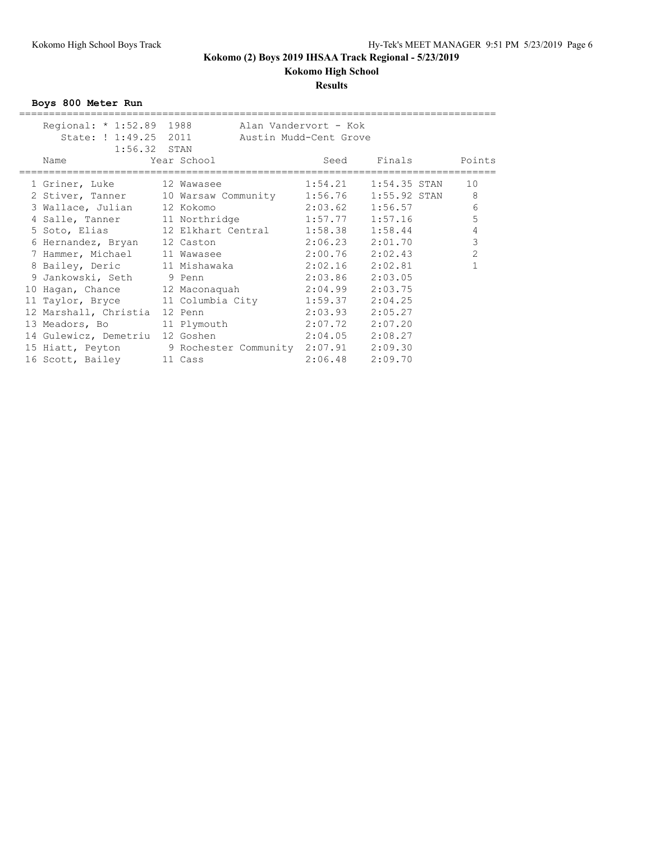# **Results**

**Boys 800 Meter Run**

| Regional: * 1:52.89 1988<br>State: ! 1:49.25 2011 |                                                           | Alan Vandervort - Kok<br>Austin Mudd-Cent Grove |                              |                |
|---------------------------------------------------|-----------------------------------------------------------|-------------------------------------------------|------------------------------|----------------|
| $1:56.32$ STAN                                    |                                                           |                                                 |                              |                |
| Name                                              | Year School                                               | Seed                                            | Finals<br>================== | Points         |
| 1 Griner, Luke                                    | 12 Wawasee                                                |                                                 | $1:54.21$ $1:54.35$ STAN     | 10             |
|                                                   | 2 Stiver, Tanner 10 Warsaw Community 1:56.76 1:55.92 STAN |                                                 |                              | 8              |
| 3 Wallace, Julian                                 | 12 Kokomo                                                 |                                                 | $2:03.62$ $1:56.57$          | 6              |
|                                                   | 4 Salle, Tanner 11 Northridge 1:57.77 1:57.16             |                                                 |                              | 5              |
|                                                   |                                                           |                                                 |                              | $\overline{4}$ |
| 6 Hernandez, Bryan 12 Caston                      |                                                           |                                                 | $2:06.23$ $2:01.70$          | $\mathcal{S}$  |
|                                                   | 7 Hammer, Michael 11 Wawasee 2:00.76 2:02.43              |                                                 |                              | $\overline{c}$ |
|                                                   | 8 Bailey, Deric 11 Mishawaka 2:02.16 2:02.81              |                                                 |                              |                |
| 9 Jankowski, Seth 9 Penn                          |                                                           | 2:03.86 2:03.05                                 |                              |                |
|                                                   | 10 Hagan, Chance 12 Maconaquah 2:04.99 2:03.75            |                                                 |                              |                |
|                                                   | 11 Taylor, Bryce 11 Columbia City 1:59.37                 |                                                 | 2:04.25                      |                |
| 12 Marshall, Christia                             | 12 Penn                                                   | 2:03.93                                         | 2:05.27                      |                |
|                                                   | 13 Meadors, Bo 11 Plymouth 2:07.72 2:07.20                |                                                 |                              |                |
| 14 Gulewicz, Demetriu                             | 12 Goshen                                                 | $2:04.05$ $2:08.27$                             |                              |                |
|                                                   | 15 Hiatt, Peyton 9 Rochester Community 2:07.91 2:09.30    |                                                 |                              |                |
| 16 Scott, Bailey 11 Cass                          |                                                           | $2:06.48$ $2:09.70$                             |                              |                |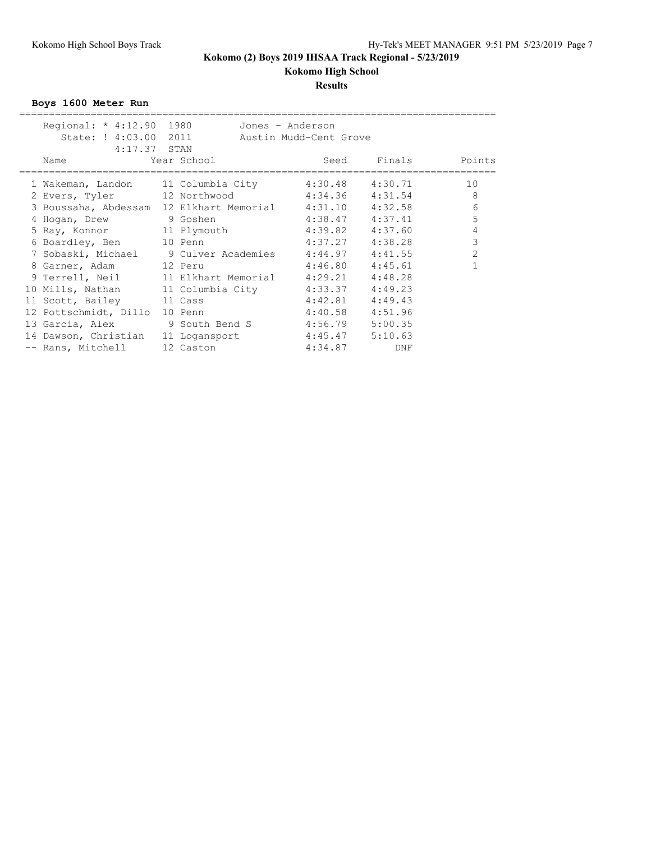**Kokomo High School**

### **Results**

**Boys 1600 Meter Run**

| Regional: * 4:12.90 1980                                                                                        |                                     | Jones - Anderson       |         |                    |
|-----------------------------------------------------------------------------------------------------------------|-------------------------------------|------------------------|---------|--------------------|
| State: ! 4:03.00 2011                                                                                           |                                     | Austin Mudd-Cent Grove |         |                    |
| $4:17.37$ STAN                                                                                                  |                                     |                        |         |                    |
| Name and the state of the state of the state of the state of the state of the state of the state of the state o | Year School                         |                        |         | Seed Finals Points |
|                                                                                                                 |                                     |                        |         | 10                 |
| 1 Wakeman, Landon      11 Columbia City          4:30.48     4:30.71                                            |                                     |                        |         |                    |
| 2 Evers, Tyler 12 Northwood 4:34.36 4:31.54                                                                     |                                     |                        |         | 8                  |
| 3 Boussaha, Abdessam 12 Elkhart Memorial 4:31.10 4:32.58                                                        |                                     |                        |         | 6                  |
| 4 Hogan, Drew 9 Goshen                                                                                          |                                     | $4:38.47$ $4:37.41$    |         | 5                  |
| 5 Ray, Konnor 11 Plymouth 4:39.82 4:37.60                                                                       |                                     |                        |         | 4                  |
| 6 Boardley, Ben 10 Penn                                                                                         |                                     | $4:37.27$ $4:38.28$    |         | 3                  |
| 7 Sobaski, Michael 9 Culver Academies 4:44.97 4:41.55                                                           |                                     |                        |         | 2                  |
| 8 Garner, Adam 12 Peru                                                                                          |                                     | 4:46.80                | 4:45.61 |                    |
| 9 Terrell, Neil                                                                                                 | 11 Elkhart Memorial 4:29.21 4:48.28 |                        |         |                    |
| 10 Mills, Nathan 11 Columbia City 4:33.37 4:49.23                                                               |                                     |                        |         |                    |
| 11 Scott, Bailey 11 Cass                                                                                        |                                     | $4:42.81$ $4:49.43$    |         |                    |
| 12 Pottschmidt, Dillo                                                                                           | 10 Penn                             | $4:40.58$ $4:51.96$    |         |                    |
| 13 Garcia, Alex 9 South Bend S                                                                                  |                                     | 4:56.79 5:00.35        |         |                    |
| 14 Dawson, Christian 11 Logansport                                                                              |                                     | $4:45.47$ $5:10.63$    |         |                    |
| -- Rans, Mitchell                                                                                               | 12 Caston                           | 4:34.87                | DNF     |                    |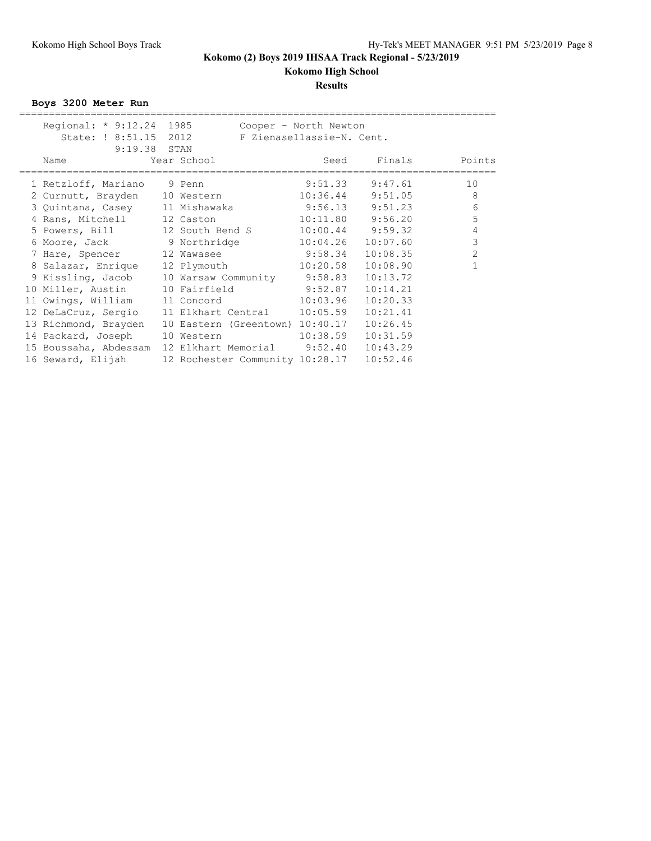**Kokomo High School**

### **Results**

**Boys 3200 Meter Run**

| Regional: * 9:12.24 1985<br>State: ! 8:51.15 2012 |             | Cooper - North Newton<br>F Zienasellassie-N. Cent. |                      |                |
|---------------------------------------------------|-------------|----------------------------------------------------|----------------------|----------------|
| 9:19.38 STAN<br>Name                              | Year School | Seed                                               |                      | Finals Points  |
| 1 Retzloff, Mariano 9 Penn                        |             |                                                    | $9:51.33$ $9:47.61$  | 10             |
| 2 Curnutt, Brayden 10 Western 10:36.44 9:51.05    |             |                                                    |                      | 8              |
| 3 Quintana, Casey 11 Mishawaka 3:56.13 9:51.23    |             |                                                    |                      | 6              |
| 4 Rans, Mitchell 12 Caston                        |             |                                                    | $10:11.80$ $9:56.20$ | 5              |
| 5 Powers, Bill 12 South Bend S                    |             |                                                    | $10:00.44$ 9:59.32   | 4              |
| 6 Moore, Jack 9 Northridge 10:04.26               |             |                                                    | 10:07.60             | 3              |
| 7 Hare, Spencer 12 Wawasee 9:58.34                |             |                                                    | 10:08.35             | $\overline{2}$ |
| 8 Salazar, Enrique                                |             | 12 Plymouth 10:20.58                               | 10:08.90             | 1              |
| 9 Kissling, Jacob 10 Warsaw Community 9:58.83     |             |                                                    | 10:13.72             |                |
| 10 Miller, Austin 10 Fairfield 9:52.87            |             |                                                    | 10:14.21             |                |
| 11 Owings, William 11 Concord                     |             | 10:03.96                                           | 10:20.33             |                |
| 12 DeLaCruz, Sergio 11 Elkhart Central 10:05.59   |             |                                                    | 10:21.41             |                |
| 13 Richmond, Brayden                              |             | 10 Eastern (Greentown) 10:40.17                    | 10:26.45             |                |
| 14 Packard, Joseph                                | 10 Western  | 10:38.59                                           | 10:31.59             |                |
| 15 Boussaha, Abdessam                             |             | 12 Elkhart Memorial 9:52.40                        | 10:43.29             |                |
| 16 Seward, Elijah                                 |             | 12 Rochester Community 10:28.17                    | 10:52.46             |                |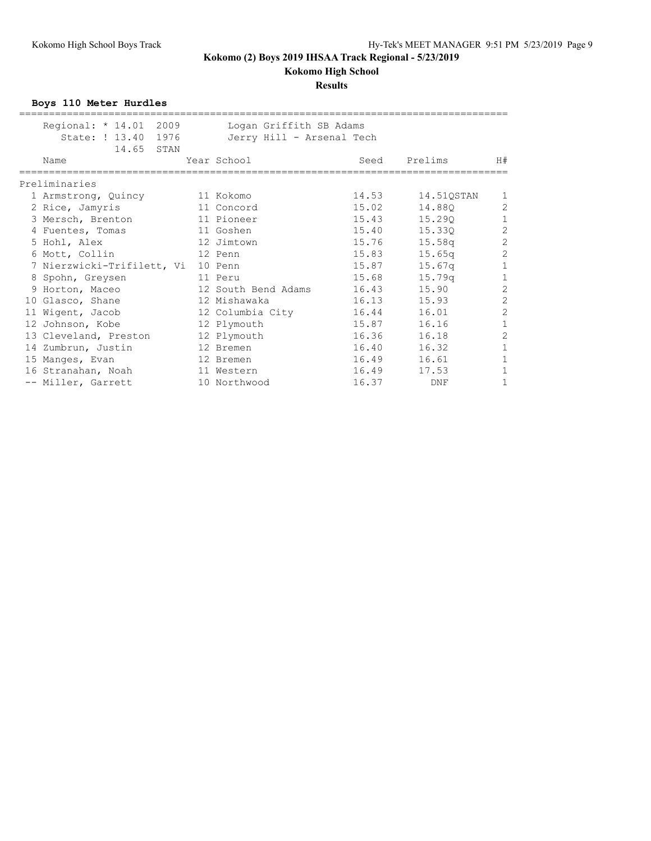# **Kokomo High School**

#### **Results**

**Boys 110 Meter Hurdles**

| Regional: * 14.01 2009<br>State: ! 13.40 1976<br>14.65 STAN | Logan Griffith SB Adams<br>Jerry Hill - Arsenal Tech |       |            |                |
|-------------------------------------------------------------|------------------------------------------------------|-------|------------|----------------|
| Name                                                        | Year School                                          | Seed  | Prelims    | H#             |
| Preliminaries                                               |                                                      |       |            |                |
| 1 Armstrong, Quincy                                         | 11 Kokomo                                            | 14.53 | 14.51QSTAN | $\mathbf{1}$   |
| 2 Rice, Jamyris                                             | 11 Concord                                           | 15.02 | 14.880     | $\overline{c}$ |
| 3 Mersch, Brenton                                           | 11 Pioneer                                           | 15.43 | 15.290     | $\mathbf{1}$   |
| 4 Fuentes, Tomas                                            | 11 Goshen                                            | 15.40 | 15.330     | $\overline{c}$ |
| 5 Hohl, Alex                                                | 12 Jimtown                                           | 15.76 | 15.58q     | $\overline{c}$ |
| 6 Mott, Collin                                              | 12 Penn                                              | 15.83 | 15.65q     | $\overline{c}$ |
| 7 Nierzwicki-Trifilett, Vi 10 Penn                          |                                                      | 15.87 | 15.67q     | $1\,$          |
| 8 Spohn, Greysen                                            | 11 Peru                                              | 15.68 | 15.79q     | $1\,$          |
| 9 Horton, Maceo                                             | 12 South Bend Adams                                  | 16.43 | 15.90      | $\overline{c}$ |
| 10 Glasco, Shane                                            | 12 Mishawaka                                         | 16.13 | 15.93      | $\overline{c}$ |
| 11 Wigent, Jacob                                            | 12 Columbia City                                     | 16.44 | 16.01      | $\overline{c}$ |
| 12 Johnson, Kobe                                            | 12 Plymouth                                          | 15.87 | 16.16      | $\mathbf{1}$   |
| 13 Cleveland, Preston                                       | 12 Plymouth                                          | 16.36 | 16.18      | $\overline{c}$ |
| 14 Zumbrun, Justin                                          | 12 Bremen                                            | 16.40 | 16.32      | $\mathbf{1}$   |
| 15 Manges, Evan                                             | 12 Bremen                                            | 16.49 | 16.61      | $\mathbf{1}$   |
| 16 Stranahan, Noah                                          | 11 Western                                           | 16.49 | 17.53      | $\mathbf{1}$   |
| -- Miller, Garrett                                          | 10 Northwood                                         | 16.37 | <b>DNF</b> | 1              |
|                                                             |                                                      |       |            |                |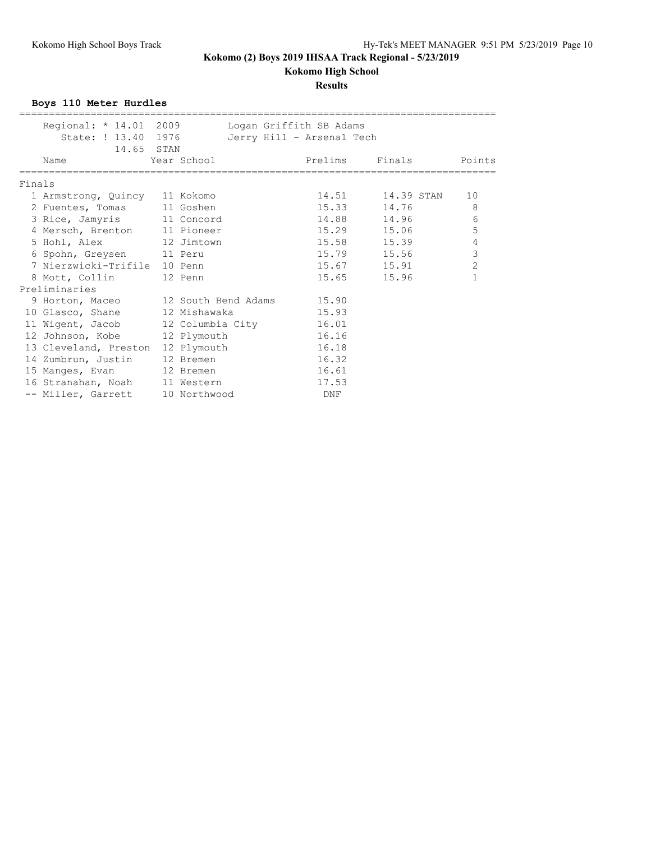# **Kokomo High School**

### **Results**

**Boys 110 Meter Hurdles**

|        | Regional: * 14.01 2009                    |  | Logan Griffith SB Adams   |                       |                |
|--------|-------------------------------------------|--|---------------------------|-----------------------|----------------|
|        | State: ! 13.40 1976                       |  | Jerry Hill - Arsenal Tech |                       |                |
|        | 14.65 STAN                                |  |                           |                       |                |
|        | Year School<br>Name                       |  |                           | Prelims Finals Points |                |
| Finals |                                           |  |                           |                       |                |
|        | 1 Armstrong, Quincy 11 Kokomo             |  |                           | 14.51 14.39 STAN      | 10             |
|        | 2 Fuentes, Tomas 11 Goshen                |  |                           | 15.33 14.76           | 8              |
|        | 3 Rice, Jamyris 11 Concord                |  |                           | 14.88 14.96           | 6              |
|        | 4 Mersch, Brenton 11 Pioneer              |  |                           | 15.29 15.06           | 5              |
|        | 5 Hohl, Alex 12 Jimtown                   |  |                           | 15.58 15.39           | $\overline{4}$ |
|        | 6 Spohn, Greysen 11 Peru                  |  |                           | 15.79 15.56           | $\mathfrak{Z}$ |
|        | 7 Nierzwicki-Trifile 10 Penn              |  |                           | 15.67 15.91           | 2              |
|        | 8 Mott, Collin 12 Penn                    |  |                           | 15.65 15.96           | 1              |
|        | Preliminaries                             |  |                           |                       |                |
|        | 9 Horton, Maceo 12 South Bend Adams 15.90 |  |                           |                       |                |
|        | 10 Glasco, Shane 12 Mishawaka             |  | 15.93                     |                       |                |
|        | 11 Wigent, Jacob 12 Columbia City         |  | 16.01                     |                       |                |
|        | 12 Johnson, Kobe 12 Plymouth              |  | 16.16                     |                       |                |
|        | 13 Cleveland, Preston 12 Plymouth         |  | 16.18                     |                       |                |
|        | 14 Zumbrun, Justin 12 Bremen              |  | 16.32                     |                       |                |
|        | 15 Manges, Evan 12 Bremen                 |  | 16.61                     |                       |                |
|        | 16 Stranahan, Noah 11 Western             |  | 17.53                     |                       |                |
|        | -- Miller, Garrett 10 Northwood           |  | DNF                       |                       |                |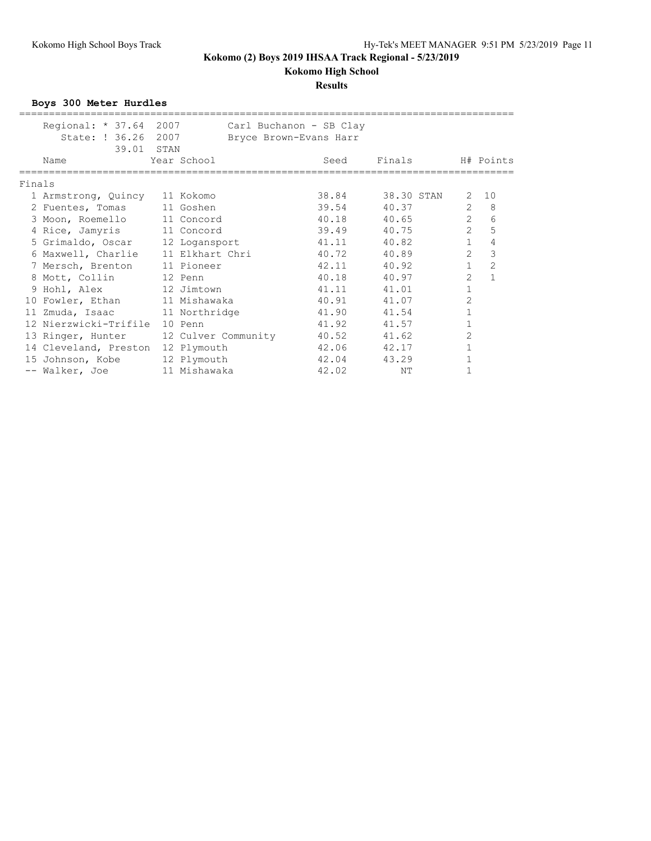# **Results**

**Boys 300 Meter Hurdles**

|        | Regional: * 37.64 2007        |                     | Carl Buchanon - SB Clay |            |                |                |
|--------|-------------------------------|---------------------|-------------------------|------------|----------------|----------------|
|        | State: ! 36.26                | 2007                | Bryce Brown-Evans Harr  |            |                |                |
|        | 39.01 STAN                    |                     |                         |            |                |                |
|        | Name                          | Year School         | Seed                    | Finals     |                | H# Points      |
| Finals |                               |                     |                         |            |                |                |
|        |                               |                     | 38.84                   | 38.30 STAN | 2              | 10             |
|        | 1 Armstrong, Quincy 11 Kokomo |                     |                         |            |                |                |
|        | 2 Fuentes, Tomas              | 11 Goshen           | 39.54                   | 40.37      | $\overline{2}$ | 8              |
|        | 3 Moon, Roemello              | 11 Concord          | 40.18                   | 40.65      | $\overline{2}$ | 6              |
|        | 4 Rice, Jamyris               | 11 Concord          | 39.49                   | 40.75      | $\overline{2}$ | 5              |
|        | 5 Grimaldo, Oscar             | 12 Logansport       | 41.11                   | 40.82      | $\mathbf{1}$   | 4              |
|        | 6 Maxwell, Charlie            | 11 Elkhart Chri     | 40.72                   | 40.89      | 2              | 3              |
|        | 7 Mersch, Brenton             | 11 Pioneer          | 42.11                   | 40.92      | $\mathbf{1}$   | $\overline{c}$ |
|        | 8 Mott, Collin                | 12 Penn             | 40.18                   | 40.97      | $\overline{2}$ | $\mathbf{1}$   |
|        | 9 Hohl, Alex 12 Jimtown       |                     | 41.11                   | 41.01      |                |                |
|        | 10 Fowler, Ethan              | 11 Mishawaka        | 40.91                   | 41.07      | $\overline{2}$ |                |
|        | 11 Zmuda, Isaac               | 11 Northridge       | 41.90                   | 41.54      |                |                |
|        | 12 Nierzwicki-Trifile         | 10 Penn             | 41.92                   | 41.57      |                |                |
|        | 13 Ringer, Hunter             | 12 Culver Community | 40.52                   | 41.62      | 2              |                |
|        | 14 Cleveland, Preston         | 12 Plymouth         | 42.06                   | 42.17      |                |                |
|        | 15 Johnson, Kobe              | 12 Plymouth         | 42.04                   | 43.29      |                |                |
|        | -- Walker, Joe                | 11 Mishawaka        | 42.02                   | ΝT         |                |                |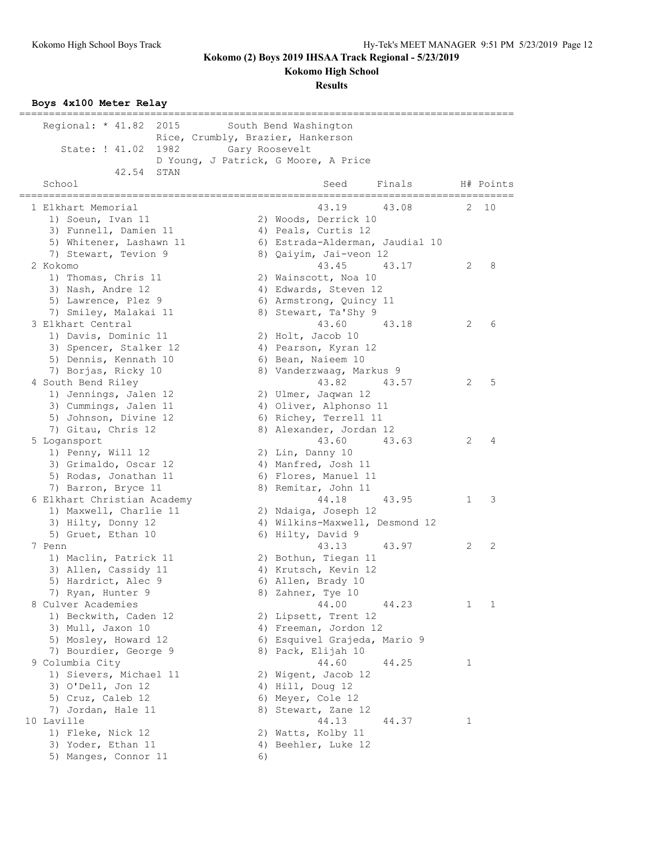**Kokomo High School**

**Results**

### **Boys 4x100 Meter Relay**

| ____________________________<br>Regional: $*$ 41.82<br>2015 |                | -==================================<br>South Bend Washington |   |           |
|-------------------------------------------------------------|----------------|--------------------------------------------------------------|---|-----------|
|                                                             |                | Rice, Crumbly, Brazier, Hankerson                            |   |           |
| State: ! 41.02<br>1982                                      | Gary Roosevelt |                                                              |   |           |
|                                                             |                | D Young, J Patrick, G Moore, A Price                         |   |           |
| 42.54<br>STAN<br>School                                     |                | Finals<br>Seed                                               |   | H# Points |
|                                                             |                | ===================<br>========                              |   |           |
| 1 Elkhart Memorial                                          |                | 43.19<br>43.08                                               | 2 | 10        |
| 1) Soeun, Ivan 11                                           |                | 2) Woods, Derrick 10                                         |   |           |
| 3) Funnell, Damien 11                                       |                | 4) Peals, Curtis 12                                          |   |           |
| 5) Whitener, Lashawn 11                                     |                | 6) Estrada-Alderman, Jaudial 10                              |   |           |
| 7) Stewart, Tevion 9                                        |                | 8) Qaiyim, Jai-veon 12                                       |   |           |
| 2 Kokomo                                                    |                | 43.45<br>43.17                                               | 2 | 8         |
| 1) Thomas, Chris 11                                         |                | 2) Wainscott, Noa 10                                         |   |           |
| 3) Nash, Andre 12                                           |                | 4) Edwards, Steven 12                                        |   |           |
| 5) Lawrence, Plez 9                                         |                | 6) Armstrong, Quincy 11                                      |   |           |
| 7) Smiley, Malakai 11                                       |                | 8) Stewart, Ta'Shy 9                                         |   |           |
| 3 Elkhart Central                                           |                | 43.60<br>43.18                                               | 2 | 6         |
| 1) Davis, Dominic 11                                        |                | 2) Holt, Jacob 10                                            |   |           |
| 3) Spencer, Stalker 12                                      |                | 4) Pearson, Kyran 12                                         |   |           |
| 5) Dennis, Kennath 10                                       |                | 6) Bean, Naieem 10                                           |   |           |
| 7) Borjas, Ricky 10                                         |                | 8) Vanderzwaag, Markus 9                                     |   |           |
| 4 South Bend Riley                                          |                | 43.82<br>43.57                                               | 2 | 5         |
| 1) Jennings, Jalen 12                                       |                | 2) Ulmer, Jaqwan 12                                          |   |           |
| 3) Cummings, Jalen 11                                       |                | 4) Oliver, Alphonso 11                                       |   |           |
| 5) Johnson, Divine 12                                       |                | 6) Richey, Terrell 11                                        |   |           |
| 7) Gitau, Chris 12                                          |                | 8) Alexander, Jordan 12                                      |   |           |
| 5 Logansport                                                |                | 43.60<br>43.63                                               | 2 | 4         |
| 1) Penny, Will 12                                           |                | 2) Lin, Danny 10                                             |   |           |
| 3) Grimaldo, Oscar 12                                       |                | 4) Manfred, Josh 11                                          |   |           |
| 5) Rodas, Jonathan 11                                       |                | 6) Flores, Manuel 11                                         |   |           |
| 7) Barron, Bryce 11                                         |                | 8) Remitar, John 11                                          |   |           |
| 6 Elkhart Christian Academy                                 |                | 44.18<br>43.95                                               | 1 | 3         |
| 1) Maxwell, Charlie 11                                      |                | 2) Ndaiga, Joseph 12                                         |   |           |
| 3) Hilty, Donny 12                                          |                | 4) Wilkins-Maxwell, Desmond 12                               |   |           |
| 5) Gruet, Ethan 10                                          |                | 6) Hilty, David 9                                            |   |           |
| 7 Penn                                                      |                | 43.13<br>43.97                                               | 2 | 2         |
| 1) Maclin, Patrick 11                                       |                | 2) Bothun, Tiegan 11                                         |   |           |
| 3) Allen, Cassidy 11                                        |                | 4) Krutsch, Kevin 12                                         |   |           |
| 5) Hardrict, Alec 9                                         |                | 6) Allen, Brady 10                                           |   |           |
| 7) Ryan, Hunter 9                                           |                | 8) Zahner, Tye 10                                            |   |           |
| 8 Culver Academies                                          |                | 44.00<br>44.23                                               | 1 | 1         |
| 1) Beckwith, Caden 12                                       |                | 2) Lipsett, Trent 12                                         |   |           |
| 3) Mull, Jaxon 10                                           |                | 4) Freeman, Jordon 12                                        |   |           |
| 5) Mosley, Howard 12                                        |                | 6) Esquivel Grajeda, Mario 9                                 |   |           |
| 7) Bourdier, George 9                                       |                | 8) Pack, Elijah 10                                           |   |           |
| 9 Columbia City                                             |                | 44.60<br>44.25                                               | 1 |           |
| 1) Sievers, Michael 11                                      |                | 2) Wigent, Jacob 12                                          |   |           |
| 3) O'Dell, Jon 12                                           |                | 4) Hill, Doug 12                                             |   |           |
| 5) Cruz, Caleb 12                                           |                | 6) Meyer, Cole 12                                            |   |           |
| 7) Jordan, Hale 11                                          |                | 8) Stewart, Zane 12                                          |   |           |
| 10 Laville                                                  |                | 44.13<br>44.37                                               | 1 |           |
| 1) Fleke, Nick 12                                           |                |                                                              |   |           |
|                                                             |                | 2) Watts, Kolby 11                                           |   |           |
| 3) Yoder, Ethan 11                                          |                | 4) Beehler, Luke 12                                          |   |           |
| 5) Manges, Connor 11                                        | 6)             |                                                              |   |           |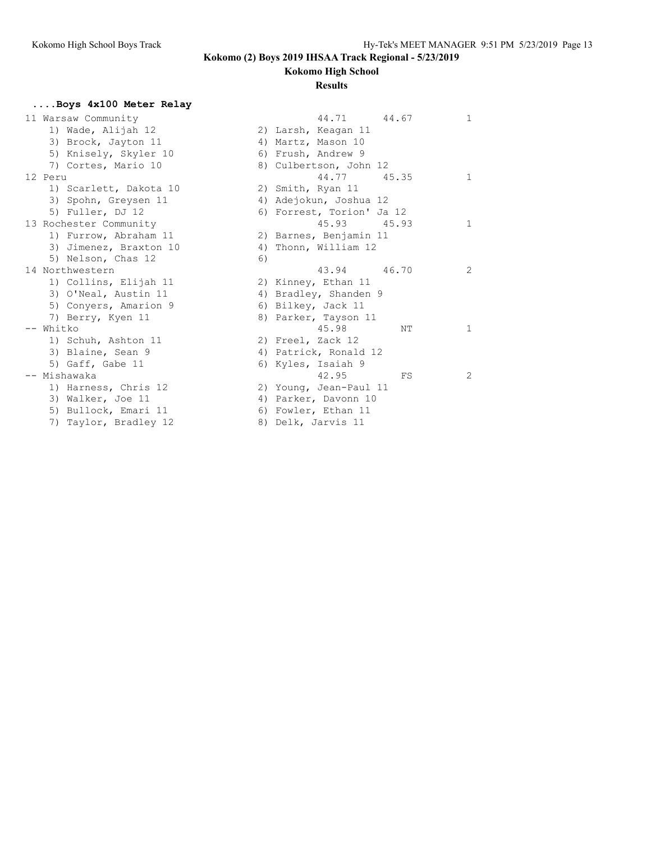### **Kokomo High School**

#### **Results**

### **....Boys 4x100 Meter Relay**

| 44.71                     |                                                                 |
|---------------------------|-----------------------------------------------------------------|
| 2) Larsh, Keagan 11       |                                                                 |
| 4) Martz, Mason 10        |                                                                 |
| 6) Frush, Andrew 9        |                                                                 |
| 8) Culbertson, John 12    |                                                                 |
|                           |                                                                 |
| 2) Smith, Ryan 11         |                                                                 |
| Adejokun, Joshua 12<br>4) |                                                                 |
|                           |                                                                 |
| 45.93                     |                                                                 |
| 2) Barnes, Benjamin 11    |                                                                 |
| 4)<br>Thonn, William 12   |                                                                 |
| 6)                        |                                                                 |
| 43.94                     |                                                                 |
| 2) Kinney, Ethan 11       |                                                                 |
| 4) Bradley, Shanden 9     |                                                                 |
| 6) Bilkey, Jack 11        |                                                                 |
| 8) Parker, Tayson 11      |                                                                 |
| 45.98                     | N                                                               |
| 2) Freel, Zack 12         |                                                                 |
| 4) Patrick, Ronald 12     |                                                                 |
| 6) Kyles, Isaiah 9        |                                                                 |
| 42.95                     | F                                                               |
| 2) Young, Jean-Paul 11    |                                                                 |
| 4) Parker, Davonn 10      |                                                                 |
| 6) Fowler, Ethan 11       |                                                                 |
| 8) Delk, Jarvis 11        |                                                                 |
|                           | 44.6<br>44.77 45.3<br>6) Forrest, Torion' Ja 12<br>45.9<br>46.7 |

| 11 Warsaw Community    | $\mathbf{1}$<br>44.71<br>44.67 |
|------------------------|--------------------------------|
| 1) Wade, Alijah 12     | 2) Larsh, Keagan 11            |
| 3) Brock, Jayton 11    | 4) Martz, Mason 10             |
| 5) Knisely, Skyler 10  | 6) Frush, Andrew 9             |
| 7) Cortes, Mario 10    | 8) Culbertson, John 12         |
| 12 Peru                | 44.77<br>45.35<br>1            |
| 1) Scarlett, Dakota 10 | 2) Smith, Ryan 11              |
| 3) Spohn, Greysen 11   | 4) Adejokun, Joshua 12         |
| 5) Fuller, DJ 12       | 6) Forrest, Torion' Ja 12      |
| 13 Rochester Community | 45.93 45.93<br>$\mathbf{1}$    |
| 1) Furrow, Abraham 11  | 2) Barnes, Benjamin 11         |
| 3) Jimenez, Braxton 10 | Thonn, William 12<br>4)        |
| 5) Nelson, Chas 12     | 6)                             |
| 14 Northwestern        | $\overline{2}$<br>43.94 46.70  |
| 1) Collins, Elijah 11  | 2) Kinney, Ethan 11            |
| 3) O'Neal, Austin 11   | 4) Bradley, Shanden 9          |
| 5) Conyers, Amarion 9  | 6) Bilkey, Jack 11             |
| 7) Berry, Kyen 11      | 8) Parker, Tayson 11           |
| Whitko                 | 45.98<br>NΤ<br>1               |
| 1) Schuh, Ashton 11    | 2) Freel, Zack 12              |
| 3) Blaine, Sean 9      | 4) Patrick, Ronald 12          |
| 5) Gaff, Gabe 11       | 6) Kyles, Isaiah 9             |
| -- Mishawaka           | 42.95<br>2<br>FS               |
| 1) Harness, Chris 12   | 2) Young, Jean-Paul 11         |
| 3) Walker, Joe 11      | 4) Parker, Davonn 10           |
| 5) Bullock, Emari 11   | 6) Fowler, Ethan 11            |
| - - - - -              |                                |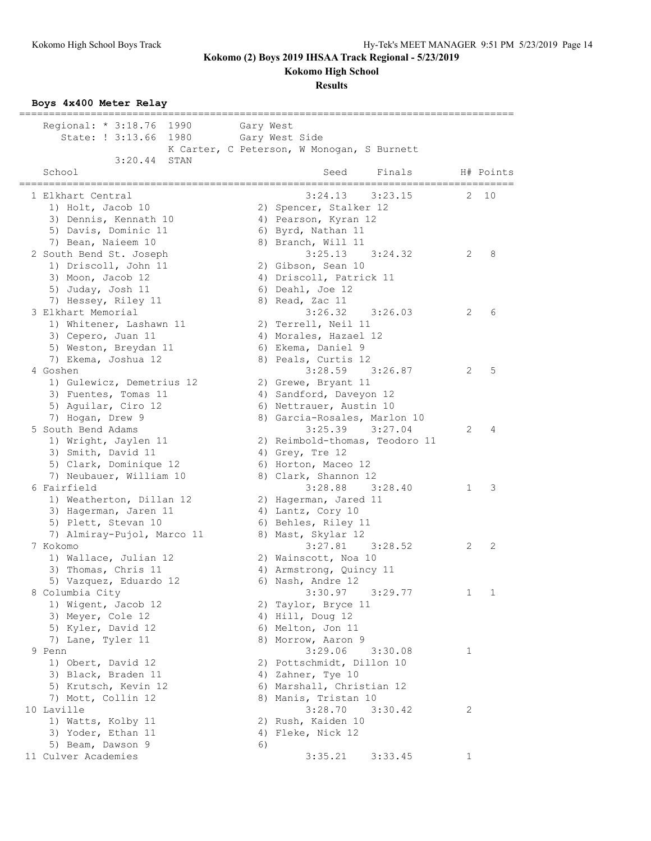**Kokomo High School**

#### **Results**

#### **Boys 4x400 Meter Relay**

| Regional: * 3:18.76 1990<br>State: ! 3:13.66 1980 Gary West Side | Gary West | K Carter, C Peterson, W Monogan, S Burnett  |   |           |
|------------------------------------------------------------------|-----------|---------------------------------------------|---|-----------|
| 3:20.44<br>STAN<br>School                                        |           | Seed<br>Finals                              |   | H# Points |
| 1 Elkhart Central                                                |           | $3:24.13$ $3:23.15$                         |   | 2 10      |
| 1) Holt, Jacob 10                                                |           | 2) Spencer, Stalker 12                      |   |           |
| 3) Dennis, Kennath 10                                            |           | 4) Pearson, Kyran 12                        |   |           |
| 5) Davis, Dominic 11                                             |           | 6) Byrd, Nathan 11                          |   |           |
| 7) Bean, Naieem 10                                               |           | 8) Branch, Will 11                          |   |           |
| 2 South Bend St. Joseph                                          |           | $3:25.13$ $3:24.32$                         | 2 | 8         |
| 1) Driscoll, John 11                                             |           | 2) Gibson, Sean 10                          |   |           |
| 3) Moon, Jacob 12                                                |           | 4) Driscoll, Patrick 11                     |   |           |
| 5) Juday, Josh 11                                                |           | 6) Deahl, Joe 12                            |   |           |
| 7) Hessey, Riley 11                                              |           | 8) Read, Zac 11                             |   |           |
| 3 Elkhart Memorial                                               |           | $3:26.32$ $3:26.03$                         | 2 | 6         |
| 1) Whitener, Lashawn 11                                          |           | 2) Terrell, Neil 11                         |   |           |
| 3) Cepero, Juan 11                                               |           | 4) Morales, Hazael 12                       |   |           |
| 5) Weston, Breydan 11                                            |           | 6) Ekema, Daniel 9                          |   |           |
| 7) Ekema, Joshua 12                                              |           | 8) Peals, Curtis 12                         |   |           |
| 4 Goshen                                                         |           | $3:28.59$ $3:26.87$                         | 2 | 5         |
| 1) Gulewicz, Demetrius 12                                        |           | 2) Grewe, Bryant 11                         |   |           |
| 3) Fuentes, Tomas 11                                             |           | 4) Sandford, Daveyon 12                     |   |           |
| 5) Aguilar, Ciro 12                                              |           | 6) Nettrauer, Austin 10                     |   |           |
| 7) Hogan, Drew 9                                                 |           | 8) Garcia-Rosales, Marlon 10                |   |           |
| 5 South Bend Adams                                               |           | $3:25.39$ $3:27.04$                         | 2 | 4         |
| 1) Wright, Jaylen 11                                             |           | 2) Reimbold-thomas, Teodoro 11              |   |           |
| 3) Smith, David 11                                               |           | 4) Grey, Tre 12                             |   |           |
| 5) Clark, Dominique 12                                           |           | 6) Horton, Maceo 12                         |   |           |
| 7) Neubauer, William 10<br>6 Fairfield                           |           | 8) Clark, Shannon 12<br>$3:28.88$ $3:28.40$ | 1 | 3         |
|                                                                  |           |                                             |   |           |
| 1) Weatherton, Dillan 12                                         |           | 2) Hagerman, Jared 11                       |   |           |
| 3) Hagerman, Jaren 11<br>5) Plett, Stevan 10                     |           | 4) Lantz, Cory 10                           |   |           |
| 7) Almiray-Pujol, Marco 11                                       |           | 6) Behles, Riley 11<br>8) Mast, Skylar 12   |   |           |
| 7 Kokomo                                                         |           | $3:27.81$ $3:28.52$                         | 2 | 2         |
| 1) Wallace, Julian 12                                            |           | 2) Wainscott, Noa 10                        |   |           |
| 3) Thomas, Chris 11                                              |           | 4) Armstrong, Quincy 11                     |   |           |
| 5) Vazquez, Eduardo 12                                           |           | 6) Nash, Andre 12                           |   |           |
| 8 Columbia City                                                  |           | 3:30.97<br>3:29.77                          | 1 | 1         |
| 1) Wigent, Jacob 12                                              |           | 2) Taylor, Bryce 11                         |   |           |
| 3) Meyer, Cole 12                                                |           | 4) Hill, Doug 12                            |   |           |
| 5) Kyler, David 12                                               |           | 6) Melton, Jon 11                           |   |           |
| 7) Lane, Tyler 11                                                |           | 8) Morrow, Aaron 9                          |   |           |
| 9 Penn                                                           |           | 3:29.06<br>3:30.08                          | 1 |           |
| 1) Obert, David 12                                               |           | 2) Pottschmidt, Dillon 10                   |   |           |
| 3) Black, Braden 11                                              |           | 4) Zahner, Tye 10                           |   |           |
| 5) Krutsch, Kevin 12                                             |           | 6) Marshall, Christian 12                   |   |           |
| 7) Mott, Collin 12                                               |           | 8) Manis, Tristan 10                        |   |           |
| 10 Laville                                                       |           | 3:28.70<br>3:30.42                          | 2 |           |
| 1) Watts, Kolby 11                                               |           | 2) Rush, Kaiden 10                          |   |           |
| 3) Yoder, Ethan 11                                               |           | 4) Fleke, Nick 12                           |   |           |
| 5) Beam, Dawson 9                                                | 6)        |                                             |   |           |
| 11 Culver Academies                                              |           | 3:35.21<br>3:33.45                          | 1 |           |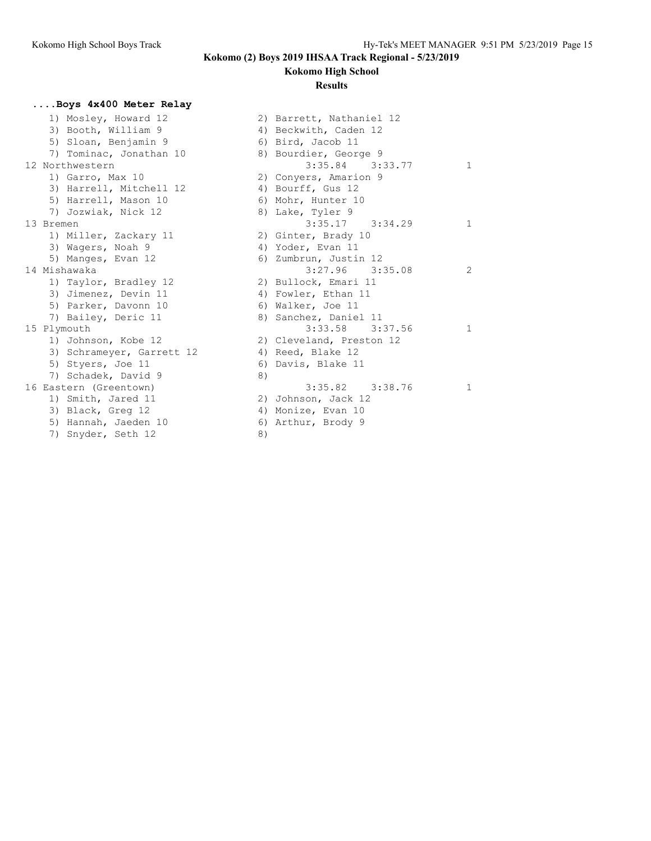### **Kokomo High School**

#### **Results**

### **....Boys 4x400 Meter Relay**

1) Mosley, Howard 12 3) Booth, William 9 5) Sloan, Benjamin 9 7) Tominac, Jonathan 10 12 Northwestern 1) Garro, Max  $10$ 3) Harrell, Mitchell 12 5) Harrell, Mason 10 7) Jozwiak, Nick 12 13 Bremen 1) Miller, Zackary 11 3) Wagers, Noah 9 5) Manges, Evan 12 14 Mishawaka 1) Taylor, Bradley 12 3) Jimenez, Devin 11 5) Parker, Davonn 10 7) Bailey, Deric 11 15 Plymouth 1) Johnson, Kobe 12 3) Schrameyer, Garrett 12 5) Styers, Joe 11  $\overline{7}$ ) Schadek, David 9 16 Eastern (Greentown) 1) Smith, Jared 11 3) Black, Greg 12 5) Hannah, Jaeden 10 7) Snyder, Seth 12

|    | 2) Barrett, Nathaniel 12 |             |
|----|--------------------------|-------------|
|    | 4) Beckwith, Caden 12    |             |
|    | 6) Bird, Jacob 11        |             |
|    | 8) Bourdier, George 9    |             |
|    | $3:35.84$ $3:33.77$      | $\mathbf 1$ |
|    | 2) Conyers, Amarion 9    |             |
|    | 4) Bourff, Gus 12        |             |
|    | 6) Mohr, Hunter 10       |             |
|    | 8) Lake, Tyler 9         |             |
|    | $3:35.17$ $3:34.29$      | 1           |
|    | 2) Ginter, Brady 10      |             |
|    | 4) Yoder, Evan 11        |             |
|    | 6) Zumbrun, Justin 12    |             |
|    | $3:27.96$ $3:35.08$      | 2           |
|    | 2) Bullock, Emari 11     |             |
|    | 4) Fowler, Ethan 11      |             |
|    | 6) Walker, Joe 11        |             |
|    | 8) Sanchez, Daniel 11    |             |
|    | $3:33.58$ $3:37.56$      | 1           |
|    | 2) Cleveland, Preston 12 |             |
|    | 4) Reed, Blake 12        |             |
| 6) | Davis, Blake 11          |             |
| 8) |                          |             |
|    | 3:35.82 3:38.76          | 1           |
|    | 2) Johnson, Jack 12      |             |
|    | 4) Monize, Evan 10       |             |
|    | 6) Arthur, Brody 9       |             |
| 8) |                          |             |
|    |                          |             |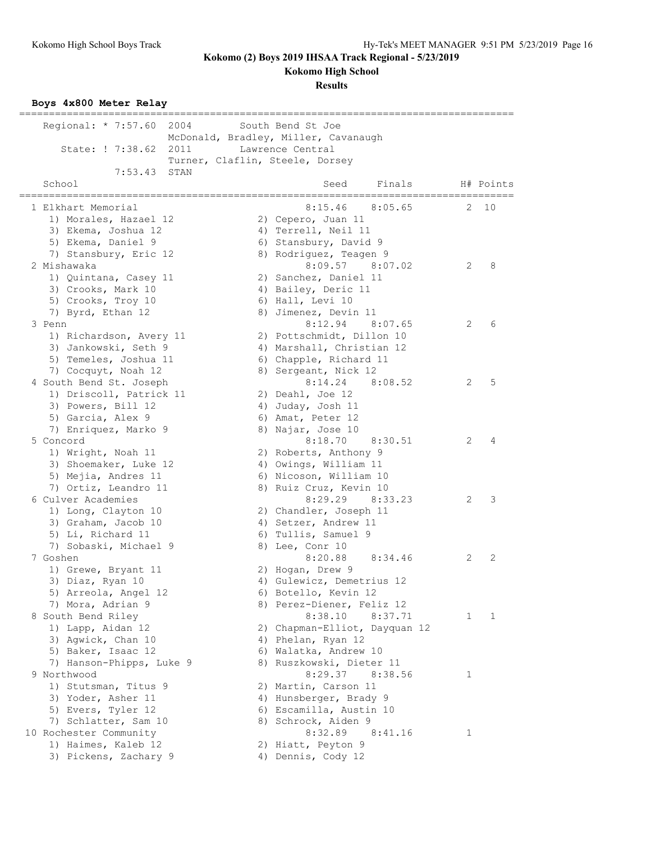**Kokomo High School**

**Results**

# **Boys 4x800 Meter Relay**

| -------------------         | ===================================                       |   |           |
|-----------------------------|-----------------------------------------------------------|---|-----------|
| Regional: * 7:57.60<br>2004 | South Bend St Joe<br>McDonald, Bradley, Miller, Cavanaugh |   |           |
| State: ! 7:38.62<br>2011    | Lawrence Central                                          |   |           |
|                             | Turner, Claflin, Steele, Dorsey                           |   |           |
| 7:53.43<br>STAN             |                                                           |   |           |
| School                      | Seed<br>Finals                                            |   | H# Points |
| 1 Elkhart Memorial          | =======================<br>8:15.46<br>8:05.65             | 2 | 10        |
| 1) Morales, Hazael 12       | 2) Cepero, Juan 11                                        |   |           |
| 3) Ekema, Joshua 12         | 4) Terrell, Neil 11                                       |   |           |
| 5) Ekema, Daniel 9          | 6) Stansbury, David 9                                     |   |           |
| 7) Stansbury, Eric 12       | 8) Rodriguez, Teagen 9                                    |   |           |
| 2 Mishawaka                 | 8:09.57<br>8:07.02                                        | 2 | 8         |
| 1) Quintana, Casey 11       | 2) Sanchez, Daniel 11                                     |   |           |
| 3) Crooks, Mark 10          | 4) Bailey, Deric 11                                       |   |           |
| 5) Crooks, Troy 10          | 6) Hall, Levi 10                                          |   |           |
| 7) Byrd, Ethan 12           | 8) Jimenez, Devin 11                                      |   |           |
| 3 Penn                      | 8:12.94 8:07.65                                           | 2 | 6         |
| 1) Richardson, Avery 11     | 2) Pottschmidt, Dillon 10                                 |   |           |
| 3) Jankowski, Seth 9        | 4) Marshall, Christian 12                                 |   |           |
| 5) Temeles, Joshua 11       | 6) Chapple, Richard 11                                    |   |           |
| 7) Cocquyt, Noah 12         | 8) Sergeant, Nick 12                                      |   |           |
| 4 South Bend St. Joseph     | $8:14.24$ $8:08.52$                                       | 2 | 5         |
| 1) Driscoll, Patrick 11     | 2) Deahl, Joe 12                                          |   |           |
| 3) Powers, Bill 12          | 4) Juday, Josh 11                                         |   |           |
| 5) Garcia, Alex 9           | 6) Amat, Peter 12                                         |   |           |
| 7) Enriquez, Marko 9        | 8) Najar, Jose 10                                         |   |           |
| 5 Concord                   | 8:18.70<br>8:30.51                                        | 2 | 4         |
| 1) Wright, Noah 11          | 2) Roberts, Anthony 9                                     |   |           |
| 3) Shoemaker, Luke 12       | 4) Owings, William 11                                     |   |           |
| 5) Mejia, Andres 11         | 6) Nicoson, William 10                                    |   |           |
| 7) Ortiz, Leandro 11        | 8) Ruiz Cruz, Kevin 10                                    |   |           |
| 6 Culver Academies          | 8:29.29<br>8:33.23                                        | 2 | 3         |
| 1) Long, Clayton 10         | 2) Chandler, Joseph 11                                    |   |           |
| 3) Graham, Jacob 10         | 4) Setzer, Andrew 11                                      |   |           |
| 5) Li, Richard 11           | 6) Tullis, Samuel 9                                       |   |           |
| 7) Sobaski, Michael 9       | 8) Lee, Conr 10                                           |   |           |
| 7 Goshen                    | 8:20.88<br>8:34.46                                        | 2 | 2         |
| 1) Grewe, Bryant 11         | 2) Hogan, Drew 9                                          |   |           |
| 3) Diaz, Ryan 10            | 4) Gulewicz, Demetrius 12                                 |   |           |
| 5) Arreola, Angel 12        | 6) Botello, Kevin 12                                      |   |           |
| 7) Mora, Adrian 9           | 8) Perez-Diener, Feliz 12                                 |   |           |
| 8 South Bend Riley          | 8:38.10<br>8:37.71                                        | 1 | 1         |
| 1) Lapp, Aidan 12           | 2) Chapman-Elliot, Dayquan 12                             |   |           |
| 3) Agwick, Chan 10          | 4) Phelan, Ryan 12                                        |   |           |
| 5) Baker, Isaac 12          | 6) Walatka, Andrew 10                                     |   |           |
| 7) Hanson-Phipps, Luke 9    | 8) Ruszkowski, Dieter 11                                  |   |           |
| 9 Northwood                 | 8:29.37<br>8:38.56                                        | 1 |           |
| 1) Stutsman, Titus 9        | 2) Martin, Carson 11                                      |   |           |
| 3) Yoder, Asher 11          | 4) Hunsberger, Brady 9                                    |   |           |
| 5) Evers, Tyler 12          | 6) Escamilla, Austin 10                                   |   |           |
| 7) Schlatter, Sam 10        | 8) Schrock, Aiden 9                                       |   |           |
| 10 Rochester Community      | 8:32.89<br>8:41.16                                        | 1 |           |
| 1) Haimes, Kaleb 12         | 2) Hiatt, Peyton 9                                        |   |           |
| 3) Pickens, Zachary 9       | 4) Dennis, Cody 12                                        |   |           |
|                             |                                                           |   |           |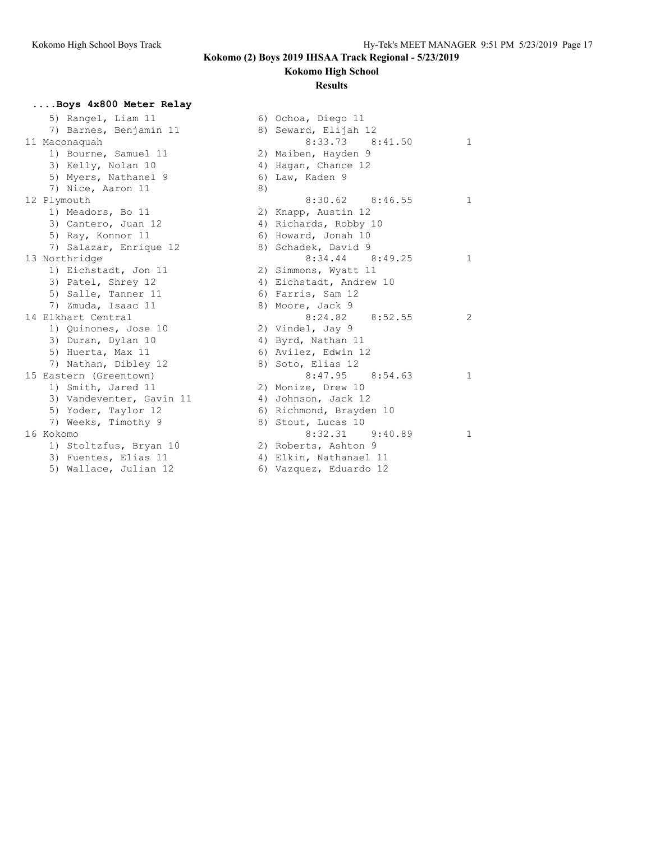### **Kokomo High School**

#### **Results**

### **....Boys 4x800 Meter Relay**

|           | 5) Rangel, Liam 11       |    | 6) Ochoa, Diego 11      |
|-----------|--------------------------|----|-------------------------|
|           | 7) Barnes, Benjamin 11   |    | 8) Seward, Elijah 12    |
|           | 11 Maconaquah            |    | $8:33.73$ $8:41$        |
|           | 1) Bourne, Samuel 11     |    | 2) Maiben, Hayden 9     |
|           | 3) Kelly, Nolan 10       |    | 4) Hagan, Chance 12     |
|           | 5) Myers, Nathanel 9     |    | 6) Law, Kaden 9         |
|           | 7) Nice, Aaron 11        | 8) |                         |
|           | 12 Plymouth              |    | $8:30.62$ $8:46$        |
|           | 1) Meadors, Bo 11        |    | 2) Knapp, Austin 12     |
|           | 3) Cantero, Juan 12      |    | 4) Richards, Robby 10   |
|           | 5) Ray, Konnor 11        |    | 6) Howard, Jonah 10     |
|           | 7) Salazar, Enrique 12   |    | 8) Schadek, David 9     |
|           | 13 Northridge            |    | 8:34.44 8:49            |
|           | 1) Eichstadt, Jon 11     |    | 2) Simmons, Wyatt 11    |
|           | 3) Patel, Shrey 12       |    | 4) Eichstadt, Andrew 10 |
|           | 5) Salle, Tanner 11      |    | 6) Farris, Sam 12       |
|           | 7) Zmuda, Isaac 11       |    | 8) Moore, Jack 9        |
|           | 14 Elkhart Central       |    | 8:52<br>8:24.82         |
|           | 1) Quinones, Jose 10     |    | 2) Vindel, Jay 9        |
|           | 3) Duran, Dylan 10       |    | 4) Byrd, Nathan 11      |
|           | 5) Huerta, Max 11        |    | 6) Avilez, Edwin 12     |
|           | 7) Nathan, Dibley 12     |    | 8) Soto, Elias 12       |
|           | 15 Eastern (Greentown)   |    | $8:47.95$ $8:54$        |
|           | 1) Smith, Jared 11       |    | 2) Monize, Drew 10      |
|           | 3) Vandeventer, Gavin 11 |    | 4) Johnson, Jack 12     |
|           | 5) Yoder, Taylor 12      |    | 6) Richmond, Brayden 10 |
|           | 7) Weeks, Timothy 9      |    | 8) Stout, Lucas 10      |
| 16 Kokomo |                          |    | $8:32.31$ $9:40$        |
|           | 1) Stoltzfus, Bryan 10   |    | 2) Roberts, Ashton 9    |
|           | 3) Fuentes, Elias 11     |    | 4) Elkin, Nathanael 11  |
|           | 5) Wallace, Julian 12    |    | 6) Vazquez, Eduardo 12  |

|           | 5) Rangel, Liam 11       |    | 6) Ochoa, Diego 11      |              |
|-----------|--------------------------|----|-------------------------|--------------|
|           | 7) Barnes, Benjamin 11   |    | 8) Seward, Elijah 12    |              |
|           | 11 Maconaquah            |    | $8:33.73$ $8:41.50$     | $\mathbf{1}$ |
|           | 1) Bourne, Samuel 11     |    | 2) Maiben, Hayden 9     |              |
|           | 3) Kelly, Nolan 10       |    | 4) Hagan, Chance 12     |              |
|           | 5) Myers, Nathanel 9     |    | 6) Law, Kaden 9         |              |
|           | 7) Nice, Aaron 11        | 8) |                         |              |
|           | 12 Plymouth              |    | $8:30.62$ $8:46.55$     | 1            |
|           | 1) Meadors, Bo 11        |    | 2) Knapp, Austin 12     |              |
|           | 3) Cantero, Juan 12      |    | 4) Richards, Robby 10   |              |
|           | 5) Ray, Konnor 11        |    | 6) Howard, Jonah 10     |              |
|           | 7) Salazar, Enrique 12   |    | 8) Schadek, David 9     |              |
|           | 13 Northridge            |    | $8:34.44$ $8:49.25$     | 1.           |
|           | 1) Eichstadt, Jon 11     |    | 2) Simmons, Wyatt 11    |              |
|           | 3) Patel, Shrey 12       |    | 4) Eichstadt, Andrew 10 |              |
|           | 5) Salle, Tanner 11      |    | 6) Farris, Sam 12       |              |
|           | 7) Zmuda, Isaac 11       |    | 8) Moore, Jack 9        |              |
|           | 14 Elkhart Central       |    | $8:24.82$ $8:52.55$     | 2            |
|           | 1) Quinones, Jose 10     |    | 2) Vindel, Jay 9        |              |
|           | 3) Duran, Dylan 10       |    | 4) Byrd, Nathan 11      |              |
|           | 5) Huerta, Max 11        |    | 6) Avilez, Edwin 12     |              |
|           | 7) Nathan, Dibley 12     |    | 8) Soto, Elias 12       |              |
|           | 15 Eastern (Greentown)   |    | $8:47.95$ $8:54.63$     | 1            |
|           | 1) Smith, Jared 11       |    | 2) Monize, Drew 10      |              |
|           | 3) Vandeventer, Gavin 11 |    | 4) Johnson, Jack 12     |              |
|           | 5) Yoder, Taylor 12      |    | 6) Richmond, Brayden 10 |              |
|           | 7) Weeks, Timothy 9      |    | 8) Stout, Lucas 10      |              |
| 16 Kokomo |                          |    | $8:32.31$ $9:40.89$     | 1            |
|           | 1) Stoltzfus, Bryan 10   |    | 2) Roberts, Ashton 9    |              |
|           | 3) Fuentes, Elias 11     |    | 4) Elkin, Nathanael 11  |              |
|           | 5) Wallace, Julian 12    |    | 6) Vazquez, Eduardo 12  |              |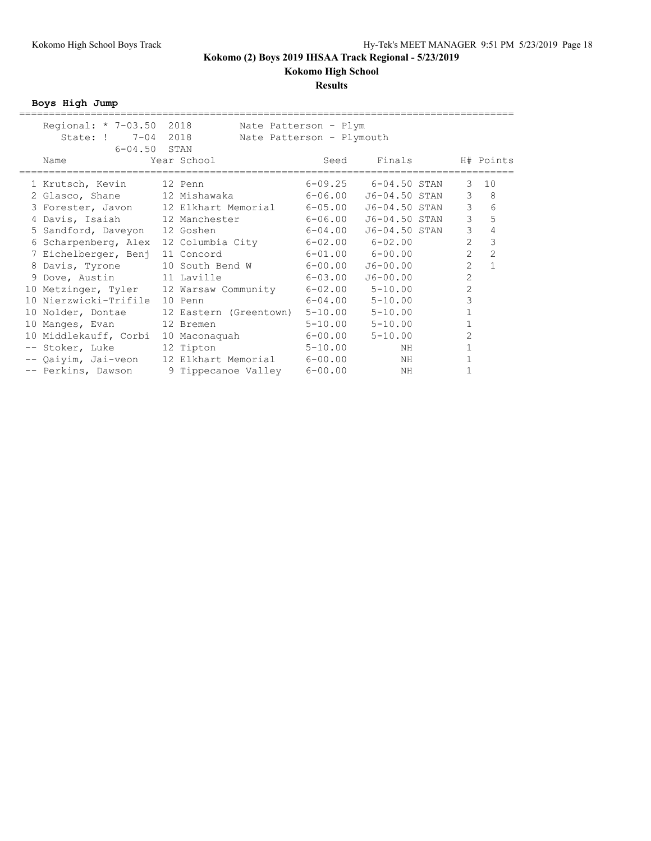### **Results**

**Boys High Jump**

| Regional: * 7-03.50 2018      |                                                 | Nate Patterson - Plym     |               |                |                |
|-------------------------------|-------------------------------------------------|---------------------------|---------------|----------------|----------------|
| State: ! 7-04 2018            |                                                 | Nate Patterson - Plymouth |               |                |                |
| $6 - 04.50$ STAN              |                                                 |                           |               |                |                |
| Name                          | Year School                                     | Seed                      | Finals        |                | H# Points      |
|                               |                                                 |                           |               |                |                |
| 1 Krutsch, Kevin              | 12 Penn                                         | $6 - 09.25$               | 6-04.50 STAN  | 3              | 10             |
|                               | 2 Glasco, Shane 12 Mishawaka                    | 6-06.00                   | J6-04.50 STAN | 3              | 8              |
| 3 Forester, Javon             | 12 Elkhart Memorial                             | $6 - 05.00$               | J6-04.50 STAN | $\mathcal{E}$  | 6              |
|                               | 4 Davis, Isaiah 12 Manchester 6-06.00           |                           | J6-04.50 STAN | 3              | 5              |
| 5 Sandford, Daveyon 12 Goshen |                                                 | $6 - 04.00$               | J6-04.50 STAN | $\mathfrak{Z}$ | 4              |
| 6 Scharpenberg, Alex          | 12 Columbia City 6-02.00                        |                           | $6 - 02.00$   | $\overline{2}$ | 3              |
| 7 Eichelberger, Benj          | 11 Concord                                      | $6-01.00$ $6-00.00$       |               | $\overline{2}$ | $\overline{2}$ |
| 8 Davis, Tyrone               | 10 South Bend W                                 | 6-00.00                   | J6-00.00      | $\overline{2}$ | $\mathbf{1}$   |
|                               |                                                 |                           |               | $\overline{2}$ |                |
| 9 Dove, Austin 11 Laville     |                                                 | 6-03.00                   | $J6 - 00.00$  |                |                |
|                               | 10 Metzinger, Tyler 12 Warsaw Community 6-02.00 |                           | $5 - 10.00$   | $\overline{2}$ |                |
| 10 Nierzwicki-Trifile 10 Penn |                                                 | $6 - 04.00$               | $5 - 10.00$   | 3              |                |
| 10 Nolder, Dontae             | 12 Eastern (Greentown) 5-10.00                  |                           | $5 - 10.00$   |                |                |
| 10 Manges, Evan 12 Bremen     |                                                 | $5 - 10.00$               | $5 - 10.00$   |                |                |
| 10 Middlekauff, Corbi         | 10 Maconaquah 6-00.00                           |                           | $5 - 10.00$   | 2              |                |
| -- Stoker, Luke               | 12 Tipton                                       | $5 - 10.00$               | ΝH            |                |                |
|                               | -- Qaiyim, Jai-veon 12 Elkhart Memorial 6-00.00 |                           | ΝH            |                |                |
| -- Perkins, Dawson            | 9 Tippecanoe Valley 6-00.00                     |                           | ΝH            |                |                |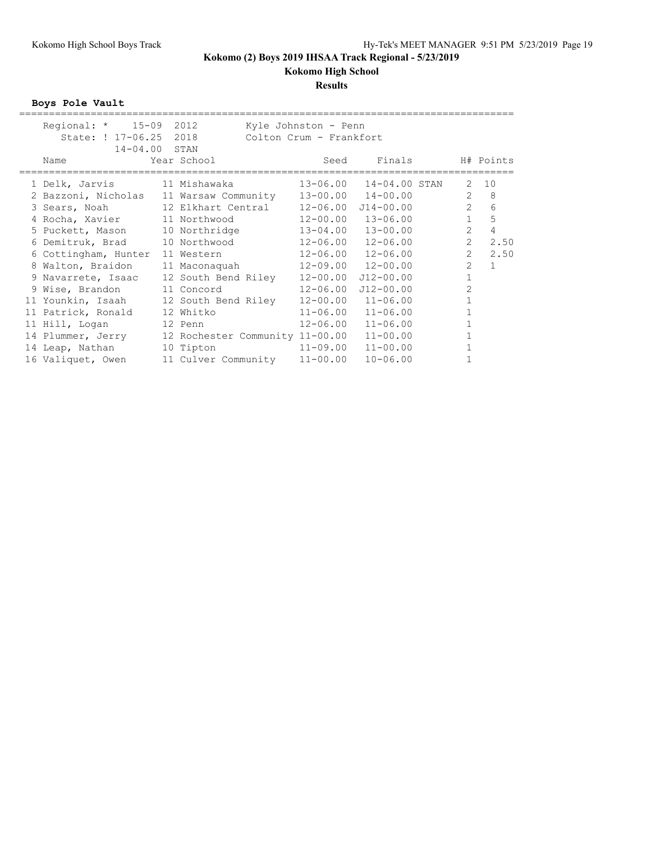# **Results**

**Boys Pole Vault**

| Regional: * 15-09 2012<br>State: ! 17-06.25 2018<br>14-04.00 STAN |                     | Kyle Johnston - Penn<br>Colton Crum - Frankfort |                           |                |                |
|-------------------------------------------------------------------|---------------------|-------------------------------------------------|---------------------------|----------------|----------------|
| Name                                                              | Year School         | Seed                                            | Finals                    |                | H# Points      |
| 1 Delk, Jarvis 11 Mishawaka                                       |                     | 13-06.00                                        | 14-04.00 STAN             | 2              | 10             |
| 2 Bazzoni, Nicholas 11 Warsaw Community                           |                     |                                                 | 13-00.00 14-00.00         | 2              | 8              |
| 3 Sears, Noah 12 Elkhart Central                                  |                     | 12-06.00                                        | $J14 - 00.00$             | $\overline{2}$ | 6              |
| 4 Rocha, Xavier 11 Northwood                                      |                     | 12-00.00                                        | $13 - 06.00$              | $\mathbf{1}$   | 5              |
| 5 Puckett, Mason 10 Northridge                                    |                     | $13 - 04.00$                                    | 13-00.00                  | $\overline{2}$ | $\overline{4}$ |
| 6 Demitruk, Brad 10 Northwood                                     |                     | 12-06.00                                        | 12-06.00                  | $\overline{2}$ | 2.50           |
| 6 Cottingham, Hunter                                              | 11 Western          | 12-06.00                                        | $12 - 06.00$              | $\overline{2}$ | 2.50           |
| 8 Walton, Braidon                                                 | 11 Maconaquah       |                                                 | $12 - 09.00$ $12 - 00.00$ | $\overline{2}$ | $\mathbf{1}$   |
| 9 Navarrete, Isaac                                                | 12 South Bend Riley | 12-00.00                                        | $J12 - 00.00$             | $\mathbf{1}$   |                |
| 9 Wise, Brandon 11 Concord                                        |                     | $12 - 06.00$                                    | $J12 - 00.00$             | $\overline{2}$ |                |
| 11 Younkin, Isaah 12 South Bend Riley                             |                     | 12-00.00                                        | $11 - 06.00$              | $\mathbf{1}$   |                |
| 11 Patrick, Ronald                                                | 12 Whitko           | $11 - 06.00$                                    | $11 - 06.00$              | $\mathbf{1}$   |                |
| 11 Hill, Logan 12 Penn                                            |                     | $12 - 06.00$                                    | $11 - 06.00$              | $\mathbf{1}$   |                |
| 14 Plummer, Jerry 12 Rochester Community 11-00.00                 |                     |                                                 | $11 - 00.00$              |                |                |
| 14 Leap, Nathan                                                   | 10 Tipton           | $11 - 09.00$                                    | $11 - 00.00$              |                |                |
| 16 Valiquet, Owen                                                 | 11 Culver Community | $11 - 00.00$                                    | $10 - 06.00$              |                |                |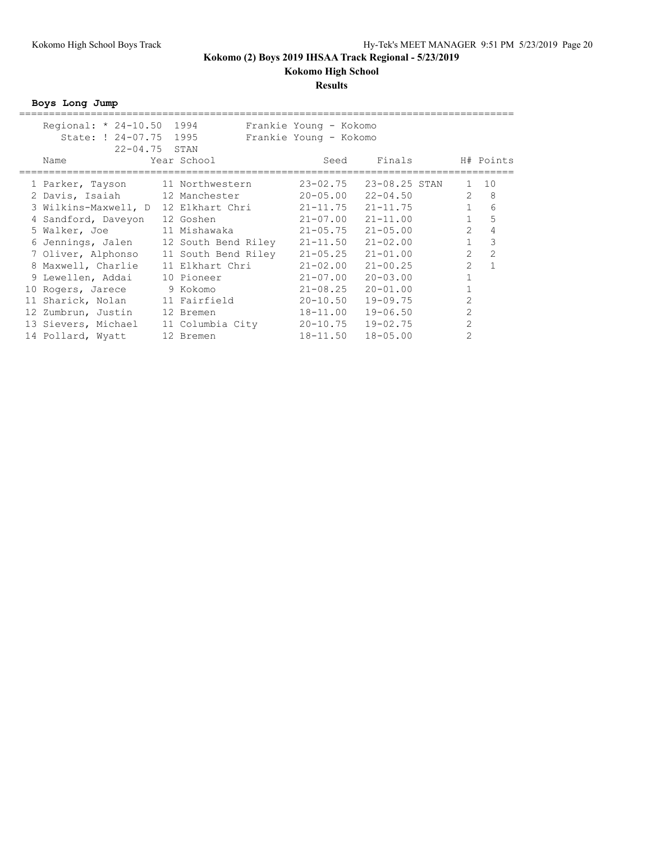### **Results**

**Boys Long Jump**

| Regional: * 24-10.50 1994              |                  | Frankie Young - Kokomo |               |                |              |
|----------------------------------------|------------------|------------------------|---------------|----------------|--------------|
| State: ! 24-07.75 1995                 |                  | Frankie Young - Kokomo |               |                |              |
| $22 - 04.75$ STAN                      |                  |                        |               |                |              |
| Name                                   | Year School      | Seed                   | Finals        |                | H# Points    |
|                                        |                  |                        |               |                |              |
| 1 Parker, Tayson                       | 11 Northwestern  | $23 - 02.75$           | 23-08.25 STAN | $\mathbf{1}$   | 10           |
| 2 Davis, Isaiah 12 Manchester          |                  | $20 - 05.00$           | $22 - 04.50$  | $\mathcal{L}$  | 8            |
| 3 Wilkins-Maxwell, D 12 Elkhart Chri   |                  | $21 - 11.75$           | $21 - 11.75$  | $\mathbf{1}$   | 6            |
| 4 Sandford, Daveyon                    | 12 Goshen        | $21 - 07.00$           | $21 - 11.00$  | $\mathbf{1}$   | 5            |
| 5 Walker, Joe                          | 11 Mishawaka     | $21 - 05.75$           | $21 - 05.00$  | $\overline{2}$ | 4            |
| 6 Jennings, Jalen 12 South Bend Riley  |                  | $21 - 11.50$           | $21 - 02.00$  | $\mathbf{1}$   | 3            |
| 7 Oliver, Alphonso 11 South Bend Riley |                  | $21 - 05.25$           | $21 - 01.00$  | $\overline{2}$ | 2            |
| 8 Maxwell, Charlie                     | 11 Elkhart Chri  | $21 - 02.00$           | $21 - 00.25$  | $\overline{2}$ | $\mathbf{1}$ |
| 9 Lewellen, Addai                      | 10 Pioneer       | $21 - 07.00$           | $20 - 03.00$  |                |              |
| 10 Rogers, Jarece                      | 9 Kokomo         | $21 - 08.25$           | $20 - 01.00$  |                |              |
| 11 Sharick, Nolan                      | 11 Fairfield     | $20 - 10.50$           | $19 - 09.75$  | $\overline{2}$ |              |
| 12 Zumbrun, Justin                     | 12 Bremen        | 18-11.00               | $19 - 06.50$  | $\overline{2}$ |              |
| 13 Sievers, Michael                    | 11 Columbia City | $20 - 10.75$           | $19 - 02.75$  | $\overline{2}$ |              |
| 14 Pollard, Wyatt                      | 12 Bremen        | 18-11.50               | $18 - 05.00$  | $\overline{2}$ |              |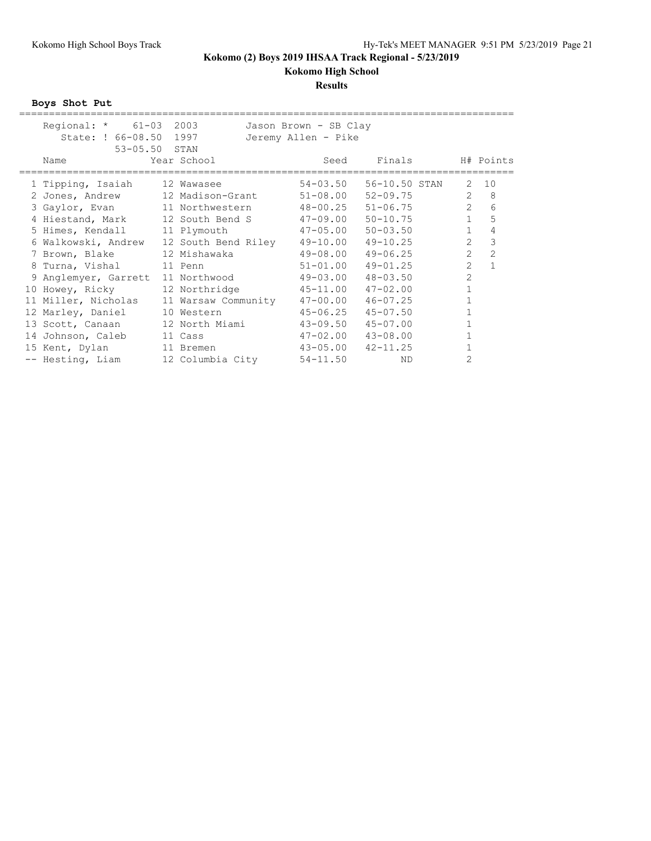# **Results**

**Boys Shot Put**

|            |                                                                                                                                                                                      |                                                                                                 |                                                                                                                                                                                                                                                                                                            |                                                                                                                                                                                                                                                     | H# Points                         |
|------------|--------------------------------------------------------------------------------------------------------------------------------------------------------------------------------------|-------------------------------------------------------------------------------------------------|------------------------------------------------------------------------------------------------------------------------------------------------------------------------------------------------------------------------------------------------------------------------------------------------------------|-----------------------------------------------------------------------------------------------------------------------------------------------------------------------------------------------------------------------------------------------------|-----------------------------------|
|            |                                                                                                                                                                                      |                                                                                                 |                                                                                                                                                                                                                                                                                                            | 2                                                                                                                                                                                                                                                   | 10                                |
|            |                                                                                                                                                                                      |                                                                                                 |                                                                                                                                                                                                                                                                                                            | $\mathbf{2}$                                                                                                                                                                                                                                        | 8                                 |
|            |                                                                                                                                                                                      |                                                                                                 |                                                                                                                                                                                                                                                                                                            | $2^{\circ}$                                                                                                                                                                                                                                         | 6                                 |
|            |                                                                                                                                                                                      |                                                                                                 |                                                                                                                                                                                                                                                                                                            |                                                                                                                                                                                                                                                     | 5                                 |
|            |                                                                                                                                                                                      |                                                                                                 |                                                                                                                                                                                                                                                                                                            | $\mathbf{1}$                                                                                                                                                                                                                                        | $\overline{4}$                    |
|            |                                                                                                                                                                                      |                                                                                                 | $49 - 10.25$                                                                                                                                                                                                                                                                                               | $\overline{2}$                                                                                                                                                                                                                                      | 3                                 |
|            |                                                                                                                                                                                      | 49-08.00                                                                                        | $49 - 06.25$                                                                                                                                                                                                                                                                                               | $\overline{2}$                                                                                                                                                                                                                                      | $\overline{2}$                    |
|            |                                                                                                                                                                                      |                                                                                                 | $49 - 01.25$                                                                                                                                                                                                                                                                                               | $\overline{2}$                                                                                                                                                                                                                                      | $\mathbf{1}$                      |
|            |                                                                                                                                                                                      | 49-03.00                                                                                        | $48 - 03.50$                                                                                                                                                                                                                                                                                               | $\overline{2}$                                                                                                                                                                                                                                      |                                   |
|            |                                                                                                                                                                                      |                                                                                                 | $47 - 02.00$                                                                                                                                                                                                                                                                                               | $\mathbf{1}$                                                                                                                                                                                                                                        |                                   |
|            |                                                                                                                                                                                      | $47 - 00.00$                                                                                    | $46 - 07.25$                                                                                                                                                                                                                                                                                               | $\mathbf{1}$                                                                                                                                                                                                                                        |                                   |
| 10 Western |                                                                                                                                                                                      | $45 - 06.25$                                                                                    | $45 - 07.50$                                                                                                                                                                                                                                                                                               | $\mathbf{1}$                                                                                                                                                                                                                                        |                                   |
|            |                                                                                                                                                                                      |                                                                                                 | $45 - 07.00$                                                                                                                                                                                                                                                                                               |                                                                                                                                                                                                                                                     |                                   |
|            |                                                                                                                                                                                      |                                                                                                 | $43 - 08.00$                                                                                                                                                                                                                                                                                               |                                                                                                                                                                                                                                                     |                                   |
|            |                                                                                                                                                                                      |                                                                                                 | $42 - 11.25$                                                                                                                                                                                                                                                                                               |                                                                                                                                                                                                                                                     |                                   |
|            |                                                                                                                                                                                      | $54 - 11.50$                                                                                    | ND.                                                                                                                                                                                                                                                                                                        | 2                                                                                                                                                                                                                                                   |                                   |
|            | Regional: $*$ 61-03 2003<br>State: ! 66-08.50 1997<br>53-05.50 STAN<br>Year School<br>12 Wawasee<br>8 Turna, Vishal 11 Penn<br>14 Johnson, Caleb 11 Cass<br>15 Kent, Dylan 11 Bremen | 4 Hiestand, Mark 12 South Bend S<br>5 Himes, Kendall 11 Plymouth<br>7 Brown, Blake 12 Mishawaka | Seed<br>2 Jones, Andrew 12 Madison-Grant<br>3 Gaylor, Evan 11 Northwestern<br>6 Walkowski, Andrew 12 South Bend Riley<br>9 Anglemyer, Garrett 11 Northwood<br>12 Northridge<br>11 Miller, Nicholas 11 Warsaw Community<br>43-09.50<br>13 Scott, Canaan 12 North Miami<br>-- Hesting, Liam 12 Columbia City | Jason Brown - SB Clay<br>Jeremy Allen - Pike<br>Finals<br>$54 - 03.50$<br>56-10.50 STAN<br>$51 - 08.00$<br>48-00.25<br>47-09.00<br>$50 - 10.75$<br>$50 - 03.50$<br>$47 - 05.00$<br>49-10.00<br>$51 - 01.00$<br>45-11.00<br>47-02.00<br>$43 - 05.00$ | $52 - 09.75$<br>$51 - 06.75$<br>1 |